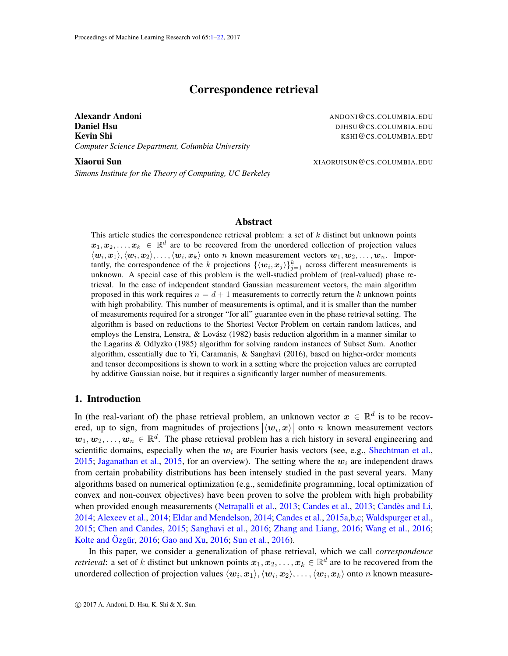# Correspondence retrieval

<span id="page-0-0"></span>Alexandr Andoni **Andoni Andoni ANDONI ANDONI ANDONI ANDONI ANDONI ANDONI ANDONI ANDONI ANDONI ANDONI ANDONI ANDONI ANDONI ANDONI ANDONI ANDONI ANDONI ANDONI ANDONI ANDONI ANDONI Daniel Hsu** DJHSU@CS.COLUMBIA.EDU Kevin Shi Kombined and the second state of the second state of the second state of the second state of the second state  $KSHI@CS.COLUMBIA.EDU$ *Computer Science Department, Columbia University*

Xiaorui Sun XIII ann ann an t-ìreachadh ann an t-ìreachadh ann an Alban XIII ann an Alban XIII ann an Alban XI

*Simons Institute for the Theory of Computing, UC Berkeley*

### Abstract

This article studies the correspondence retrieval problem: a set of  $k$  distinct but unknown points  $x_1, x_2, \ldots, x_k \in \mathbb{R}^d$  are to be recovered from the unordered collection of projection values  $\langle \bm{w}_i,\bm{x}_1\rangle,\langle \bm{w}_i,\bm{x}_2\rangle,\ldots,\langle \bm{w}_i,\bm{x}_k\rangle$  onto n known measurement vectors  $\bm{w}_1,\bm{w}_2,\ldots,\bm{w}_n$ . Importantly, the correspondence of the k projections  $\{\langle w_i, x_j \rangle\}_{j=1}^k$  across different measurements is unknown. A special case of this problem is the well-studied problem of (real-valued) phase retrieval. In the case of independent standard Gaussian measurement vectors, the main algorithm proposed in this work requires  $n = d + 1$  measurements to correctly return the k unknown points with high probability. This number of measurements is optimal, and it is smaller than the number of measurements required for a stronger "for all" guarantee even in the phase retrieval setting. The algorithm is based on reductions to the Shortest Vector Problem on certain random lattices, and employs the Lenstra, Lenstra, & Lovász (1982) basis reduction algorithm in a manner similar to the Lagarias & Odlyzko (1985) algorithm for solving random instances of Subset Sum. Another algorithm, essentially due to Yi, Caramanis,  $\&$  Sanghavi (2016), based on higher-order moments and tensor decompositions is shown to work in a setting where the projection values are corrupted by additive Gaussian noise, but it requires a significantly larger number of measurements.

### 1. Introduction

In (the real-variant of) the phase retrieval problem, an unknown vector  $x \in \mathbb{R}^d$  is to be recovered, up to sign, from magnitudes of projections  $|\langle w_i, x \rangle|$  onto n known measurement vectors  $w_1, w_2, \ldots, w_n \in \mathbb{R}^d$ . The phase retrieval problem has a rich history in several engineering and scientific domains, especially when the  $w_i$  are Fourier basis vectors (see, e.g., [Shechtman et al.,](#page-13-0) [2015;](#page-13-0) [Jaganathan et al.,](#page-13-1) [2015,](#page-13-1) for an overview). The setting where the  $w_i$  are independent draws from certain probability distributions has been intensely studied in the past several years. Many algorithms based on numerical optimization (e.g., semidefinite programming, local optimization of convex and non-convex objectives) have been proven to solve the problem with high probability when provided enough measurements [\(Netrapalli et al.,](#page-13-2) [2013;](#page-12-0) [Candes et al.,](#page-12-0) 2013; Candès and Li, [2014;](#page-12-1) [Alexeev et al.,](#page-12-2) [2014;](#page-12-2) [Eldar and Mendelson,](#page-12-3) [2014;](#page-12-3) [Candes et al.,](#page-12-4) [2015a,](#page-12-4)[b,](#page-12-5)[c;](#page-12-6) [Waldspurger et al.,](#page-13-3) [2015;](#page-13-3) [Chen and Candes,](#page-12-7) [2015;](#page-12-7) [Sanghavi et al.,](#page-13-4) [2016;](#page-13-4) [Zhang and Liang,](#page-14-0) [2016;](#page-14-0) [Wang et al.,](#page-13-5) [2016;](#page-13-5) [Kolte and](#page-13-6) Ozgür,  $2016$ ; [Gao and Xu,](#page-12-8)  $2016$ ; [Sun et al.,](#page-13-7)  $2016$ ).

In this paper, we consider a generalization of phase retrieval, which we call *correspondence retrieval*: a set of k distinct but unknown points  $x_1, x_2, \ldots, x_k \in \mathbb{R}^d$  are to be recovered from the unordered collection of projection values  $\langle \bm w_i,\bm x_1\rangle,\langle \bm w_i,\bm x_2\rangle,\ldots,\langle \bm w_i,\bm x_k\rangle$  onto  $n$  known measure-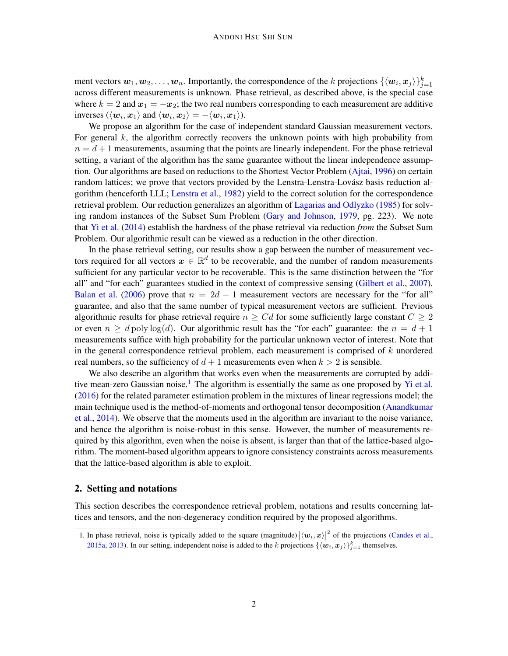ment vectors  $w_1, w_2, \ldots, w_n$ . Importantly, the correspondence of the k projections  $\{\langle w_i, x_j \rangle\}_{j=1}^k$ across different measurements is unknown. Phase retrieval, as described above, is the special case where  $k = 2$  and  $x_1 = -x_2$ ; the two real numbers corresponding to each measurement are additive inverses  $(\langle w_i, x_1 \rangle \text{ and } \langle w_i, x_2 \rangle = -\langle w_i, x_1 \rangle).$ 

We propose an algorithm for the case of independent standard Gaussian measurement vectors. For general  $k$ , the algorithm correctly recovers the unknown points with high probability from  $n = d + 1$  measurements, assuming that the points are linearly independent. For the phase retrieval setting, a variant of the algorithm has the same guarantee without the linear independence assumption. Our algorithms are based on reductions to the Shortest Vector Problem [\(Ajtai,](#page-12-9) [1996\)](#page-12-9) on certain random lattices; we prove that vectors provided by the Lenstra-Lenstra-Lovász basis reduction algorithm (henceforth LLL; [Lenstra et al.,](#page-13-8) [1982\)](#page-13-8) yield to the correct solution for the correspondence retrieval problem. Our reduction generalizes an algorithm of [Lagarias and Odlyzko](#page-13-9) [\(1985\)](#page-13-9) for solving random instances of the Subset Sum Problem [\(Gary and Johnson,](#page-13-10) [1979,](#page-13-10) pg. 223). We note that [Yi et al.](#page-13-11) [\(2014\)](#page-13-11) establish the hardness of the phase retrieval via reduction *from* the Subset Sum Problem. Our algorithmic result can be viewed as a reduction in the other direction.

In the phase retrieval setting, our results show a gap between the number of measurement vectors required for all vectors  $x \in \mathbb{R}^d$  to be recoverable, and the number of random measurements sufficient for any particular vector to be recoverable. This is the same distinction between the "for all" and "for each" guarantees studied in the context of compressive sensing [\(Gilbert et al.,](#page-13-12) [2007\)](#page-13-12). [Balan et al.](#page-12-10) [\(2006\)](#page-12-10) prove that  $n = 2d - 1$  measurement vectors are necessary for the "for all" guarantee, and also that the same number of typical measurement vectors are sufficient. Previous algorithmic results for phase retrieval require  $n \geq Cd$  for some sufficiently large constant  $C \geq 2$ or even  $n \geq d$  poly log(d). Our algorithmic result has the "for each" guarantee: the  $n = d + 1$ measurements suffice with high probability for the particular unknown vector of interest. Note that in the general correspondence retrieval problem, each measurement is comprised of  $k$  unordered real numbers, so the sufficiency of  $d + 1$  measurements even when  $k > 2$  is sensible.

We also describe an algorithm that works even when the measurements are corrupted by addi-tive mean-zero Gaussian noise.<sup>[1](#page-1-0)</sup> The algorithm is essentially the same as one proposed by [Yi et al.](#page-14-1) [\(2016\)](#page-14-1) for the related parameter estimation problem in the mixtures of linear regressions model; the main technique used is the method-of-moments and orthogonal tensor decomposition [\(Anandkumar](#page-12-11) [et al.,](#page-12-11) [2014\)](#page-12-11). We observe that the moments used in the algorithm are invariant to the noise variance, and hence the algorithm is noise-robust in this sense. However, the number of measurements required by this algorithm, even when the noise is absent, is larger than that of the lattice-based algorithm. The moment-based algorithm appears to ignore consistency constraints across measurements that the lattice-based algorithm is able to exploit.

### 2. Setting and notations

This section describes the correspondence retrieval problem, notations and results concerning lattices and tensors, and the non-degeneracy condition required by the proposed algorithms.

<span id="page-1-0"></span><sup>1.</sup> In phase retrieval, noise is typically added to the square (magnitude)  $|\langle w_i, x \rangle|^2$  of the projections [\(Candes et al.,](#page-12-4) [2015a,](#page-12-4) [2013\)](#page-12-0). In our setting, independent noise is added to the k projections  $\{\langle w_i, x_j \rangle\}_{j=1}^k$  themselves.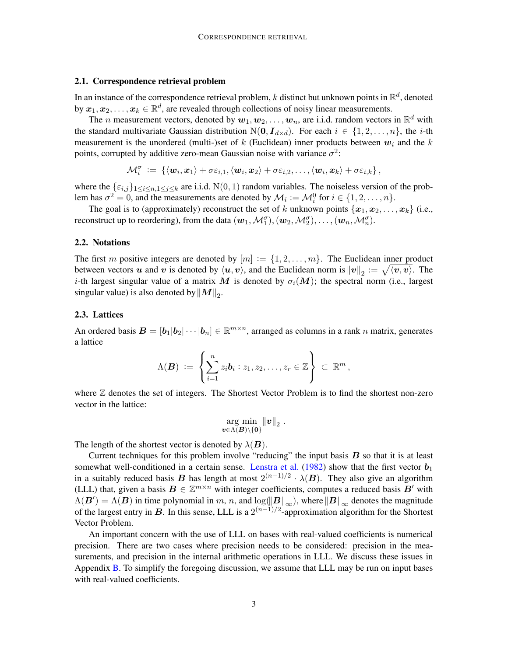#### 2.1. Correspondence retrieval problem

In an instance of the correspondence retrieval problem,  $k$  distinct but unknown points in  $\mathbb{R}^d$ , denoted by  $\bm{x}_1, \bm{x}_2, \dots, \bm{x}_k \in \mathbb{R}^d,$  are revealed through collections of noisy linear measurements.

The *n* measurement vectors, denoted by  $w_1, w_2, \ldots, w_n$ , are i.i.d. random vectors in  $\mathbb{R}^d$  with the standard multivariate Gaussian distribution  $N(0, I_{d \times d})$ . For each  $i \in \{1, 2, ..., n\}$ , the *i*-th measurement is the unordered (multi-)set of k (Euclidean) inner products between  $w_i$  and the k points, corrupted by additive zero-mean Gaussian noise with variance  $\sigma^2$ :

$$
\mathcal{M}_i^{\sigma} \;:=\; \left\{ \langle \boldsymbol{w}_i, \boldsymbol{x}_1\rangle + \sigma\varepsilon_{i,1}, \langle \boldsymbol{w}_i, \boldsymbol{x}_2\rangle + \sigma\varepsilon_{i,2}, \ldots, \langle \boldsymbol{w}_i, \boldsymbol{x}_k\rangle + \sigma\varepsilon_{i,k}\right\},
$$

where the  $\{\varepsilon_{i,j}\}_{1\leq i\leq n,1\leq j\leq k}$  are i.i.d.  $N(0, 1)$  random variables. The noiseless version of the problem has  $\sigma^2 = 0$ , and the measurements are denoted by  $\mathcal{M}_i := \mathcal{M}_i^0$  for  $i \in \{1, 2, ..., n\}$ .

The goal is to (approximately) reconstruct the set of k unknown points  $\{x_1, x_2, \ldots, x_k\}$  (i.e., reconstruct up to reordering), from the data  $(w_1, \mathcal{M}_1^{\sigma}), (w_2, \mathcal{M}_2^{\sigma}), \ldots, (w_n, \mathcal{M}_n^{\sigma}).$ 

#### 2.2. Notations

The first m positive integers are denoted by  $[m] := \{1, 2, \ldots, m\}$ . The Euclidean inner product between vectors  $u$  and  $v$  is denoted by  $\langle u, v \rangle$ , and the Euclidean norm is  $||v||_2 := \sqrt{\langle v, v \rangle}$ . The i-th largest singular value of a matrix M is denoted by  $\sigma_i(M)$ ; the spectral norm (i.e., largest singular value) is also denoted by  $\|M\|_2$ .

### 2.3. Lattices

An ordered basis  $\mathbf{B} = [\mathbf{b}_1 | \mathbf{b}_2 | \cdots | \mathbf{b}_n] \in \mathbb{R}^{m \times n}$ , arranged as columns in a rank n matrix, generates a lattice

$$
\Lambda(\boldsymbol{B}) \ := \ \left\{ \sum_{i=1}^n z_i \boldsymbol{b}_i : z_1, z_2, \ldots, z_r \in \mathbb{Z} \right\} \ \subset \ \mathbb{R}^m \, ,
$$

where  $\mathbb Z$  denotes the set of integers. The Shortest Vector Problem is to find the shortest non-zero vector in the lattice:

$$
\argmin_{\boldsymbol{v}\in\Lambda(\boldsymbol{B})\setminus\{\boldsymbol{0}\}}\|\boldsymbol{v}\|_2.
$$

The length of the shortest vector is denoted by  $\lambda(B)$ .

Current techniques for this problem involve "reducing" the input basis  $B$  so that it is at least somewhat well-conditioned in a certain sense. [Lenstra et al.](#page-13-8) [\(1982\)](#page-13-8) show that the first vector  $b_1$ in a suitably reduced basis B has length at most  $2^{(n-1)/2} \cdot \lambda(B)$ . They also give an algorithm (LLL) that, given a basis  $B \in \mathbb{Z}^{m \times n}$  with integer coefficients, computes a reduced basis  $B'$  with  $\Lambda(B') = \Lambda(B)$  in time polynomial in m, n, and  $\log(\Vert B \Vert_{\infty})$ , where  $\Vert B \Vert_{\infty}$  denotes the magnitude of the largest entry in B. In this sense, LLL is a  $2^{(n-1)/2}$ -approximation algorithm for the Shortest Vector Problem.

An important concern with the use of LLL on bases with real-valued coefficients is numerical precision. There are two cases where precision needs to be considered: precision in the measurements, and precision in the internal arithmetic operations in LLL. We discuss these issues in Appendix  $\bf{B}$ . To simplify the foregoing discussion, we assume that LLL may be run on input bases with real-valued coefficients.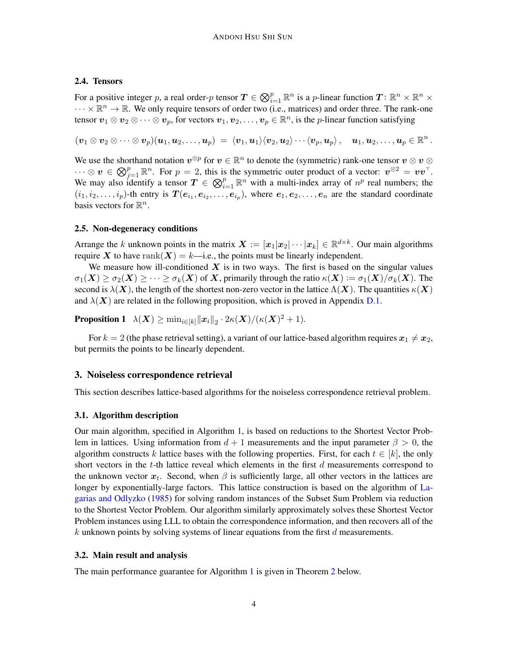### 2.4. Tensors

For a positive integer p, a real order-p tensor  $T \in \bigotimes_{i=1}^p \mathbb{R}^n$  is a p-linear function  $T \colon \mathbb{R}^n \times \mathbb{R}^n \times$  $\cdots \times \mathbb{R}^n \to \mathbb{R}$ . We only require tensors of order two (i.e., matrices) and order three. The rank-one tensor  $v_1 \otimes v_2 \otimes \cdots \otimes v_p$ , for vectors  $v_1, v_2, \ldots, v_p \in \mathbb{R}^n$ , is the *p*-linear function satisfying

 $(\bm v_1\otimes\bm v_2\otimes\cdots\otimes\bm v_p)(\bm u_1,\bm u_2,\dots,\bm u_p) \ =\ \langle \bm v_1,\bm u_1\rangle\langle \bm v_2,\bm u_2\rangle\cdots\langle \bm v_p,\bm u_p\rangle\,,\quad \bm u_1,\bm u_2,\dots,\bm u_p\in\mathbb R^n\,.$ 

We use the shorthand notation  $v^{\otimes p}$  for  $v \in \mathbb{R}^n$  to denote the (symmetric) rank-one tensor  $v \otimes v \otimes v$  $\cdots \otimes v \in \bigotimes_{j=1}^p \mathbb{R}^n$ . For  $p = 2$ , this is the symmetric outer product of a vector:  $v^{\otimes 2} = v v^\top$ . We may also identify a tensor  $T \in \bigotimes_{i=1}^p \mathbb{R}^n$  with a multi-index array of  $n^p$  real numbers; the  $(i_1, i_2, \ldots, i_p)$ -th entry is  $T(e_{i_1}, e_{i_2}, \ldots, e_{i_p})$ , where  $e_1, e_2, \ldots, e_n$  are the standard coordinate basis vectors for  $\mathbb{R}^n$ .

### 2.5. Non-degeneracy conditions

Arrange the k unknown points in the matrix  $\mathbf{X} := [\mathbf{x}_1 | \mathbf{x}_2 | \cdots | \mathbf{x}_k] \in \mathbb{R}^{d \times k}$ . Our main algorithms require X to have rank $(X) = k$ —i.e., the points must be linearly independent.

We measure how ill-conditioned  $X$  is in two ways. The first is based on the singular values  $\sigma_1(X) \geq \sigma_2(X) \geq \cdots \geq \sigma_k(X)$  of X, primarily through the ratio  $\kappa(X) := \sigma_1(X)/\sigma_k(X)$ . The second is  $\lambda(X)$ , the length of the shortest non-zero vector in the lattice  $\Lambda(X)$ . The quantities  $\kappa(X)$ and  $\lambda(X)$  are related in the following proposition, which is proved in Appendix [D.1.](#page-19-0)

<span id="page-3-1"></span>**Proposition 1**  $\lambda(\boldsymbol{X}) \ge \min_{i \in [k]} ||\boldsymbol{x}_i||_2 \cdot 2\kappa(\boldsymbol{X})/(\kappa(\boldsymbol{X})^2+1).$ 

For  $k = 2$  (the phase retrieval setting), a variant of our lattice-based algorithm requires  $x_1 \neq x_2$ , but permits the points to be linearly dependent.

### 3. Noiseless correspondence retrieval

This section describes lattice-based algorithms for the noiseless correspondence retrieval problem.

### 3.1. Algorithm description

Our main algorithm, specified in Algorithm [1,](#page-4-0) is based on reductions to the Shortest Vector Problem in lattices. Using information from  $d + 1$  measurements and the input parameter  $\beta > 0$ , the algorithm constructs k lattice bases with the following properties. First, for each  $t \in [k]$ , the only short vectors in the  $t$ -th lattice reveal which elements in the first  $d$  measurements correspond to the unknown vector  $x_t$ . Second, when  $\beta$  is sufficiently large, all other vectors in the lattices are longer by exponentially-large factors. This lattice construction is based on the algorithm of [La](#page-13-9)[garias and Odlyzko](#page-13-9) [\(1985\)](#page-13-9) for solving random instances of the Subset Sum Problem via reduction to the Shortest Vector Problem. Our algorithm similarly approximately solves these Shortest Vector Problem instances using LLL to obtain the correspondence information, and then recovers all of the  $k$  unknown points by solving systems of linear equations from the first  $d$  measurements.

### 3.2. Main result and analysis

<span id="page-3-0"></span>The main performance guarantee for Algorithm [1](#page-4-0) is given in Theorem [2](#page-3-0) below.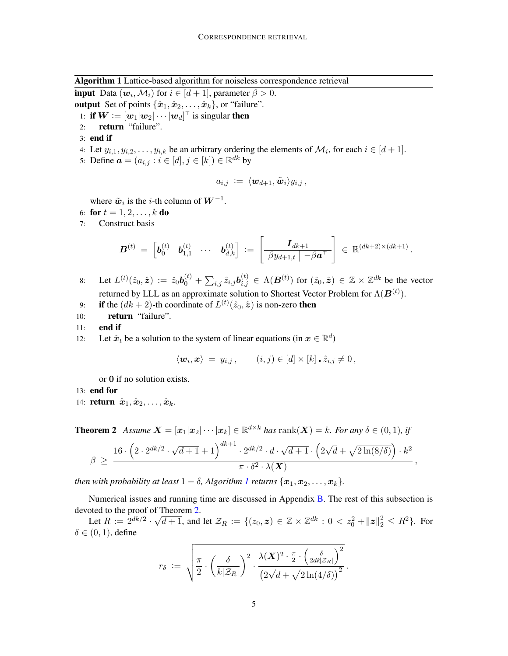Algorithm 1 Lattice-based algorithm for noiseless correspondence retrieval

<span id="page-4-0"></span>**input** Data  $(w_i, \mathcal{M}_i)$  for  $i \in [d+1]$ , parameter  $\beta > 0$ . output Set of points  $\{\hat{x}_1, \hat{x}_2, \dots, \hat{x}_k\}$ , or "failure".

- 1: if  $\boldsymbol{W} \coloneqq [\boldsymbol{w}_1|\boldsymbol{w}_2|\cdots|\boldsymbol{w}_d]^\top$  is singular then
- 2: return "failure".
- 3: end if
- 4: Let  $y_{i,1}, y_{i,2}, \ldots, y_{i,k}$  be an arbitrary ordering the elements of  $\mathcal{M}_i$ , for each  $i \in [d+1]$ .
- 5: Define  $a = (a_{i,j} : i \in [d], j \in [k]) \in \mathbb{R}^{dk}$  by

$$
a_{i,j} \; := \; \langle {\boldsymbol{w}}_{d+1}, \tilde{{\boldsymbol{w}}}_i \rangle y_{i,j} \,,
$$

where  $\tilde{w}_i$  is the *i*-th column of  $W^{-1}$ .

- 6: for  $t = 1, 2, ..., k$  do
- 7: Construct basis

$$
\bm{B}^{(t)}\ =\ \left[\bm{b}_0^{(t)}\quad \bm{b}_{1,1}^{(t)}\quad \cdots\quad \bm{b}_{d,k}^{(t)}\right]\ :=\ \left[\begin{array}{c|c} \bm{I}_{dk+1} & \\\hline \beta y_{d+1,t}\end{array}\right]\ \in\ \mathbb{R}^{(dk+2)\times (dk+1)}
$$

.

,

- 8: Let  $L^{(t)}(\hat{z}_0, \hat{\bm{z}}) := \hat{z}_0 \bm{b}_0^{(t)} + \sum_{i,j} \hat{z}_{i,j} \bm{b}_{i,j}^{(t)} \in \Lambda(\bm{B}^{(t)})$  for  $(\hat{z}_0, \hat{\bm{z}}) \in \mathbb{Z} \times \mathbb{Z}^{dk}$  be the vector returned by LLL as an approximate solution to Shortest Vector Problem for  $\Lambda(\boldsymbol{B}^{(t)})$ .
- 9: **if** the  $(dk + 2)$ -th coordinate of  $L^{(t)}(\hat{z}_0, \hat{z})$  is non-zero **then**
- 10: return "failure".
- 11: end if
- 12: Let  $\hat{x}_t$  be a solution to the system of linear equations (in  $x \in \mathbb{R}^d$ )

$$
\langle \mathbf{w}_i, \mathbf{x} \rangle = y_{i,j}, \quad (i,j) \in [d] \times [k] \cdot \hat{z}_{i,j} \neq 0,
$$

or 0 if no solution exists.

- 13: end for
- 14: **return**  $\hat{\boldsymbol{x}}_1, \hat{\boldsymbol{x}}_2, \ldots, \hat{\boldsymbol{x}}_k$ .

**Theorem 2** Assume  $\mathbf{X} = [\mathbf{x}_1 | \mathbf{x}_2 | \cdots | \mathbf{x}_k] \in \mathbb{R}^{d \times k}$  has  $\text{rank}(\mathbf{X}) = k$ *. For any*  $\delta \in (0, 1)$ *, if* 

$$
\beta \; \geq \; \frac{16 \cdot \left(2 \cdot 2^{dk/2} \cdot \sqrt{d+1} + 1\right)^{dk+1} \cdot 2^{dk/2} \cdot d \cdot \sqrt{d+1} \cdot \left(2 \sqrt{d} + \sqrt{2 \ln(8/\delta)}\right) \cdot k^2}{\pi \cdot \delta^2 \cdot \lambda(\boldsymbol{X})}
$$

*then with probability at least*  $1 - \delta$  $1 - \delta$ , *Algorithm 1 returns*  $\{x_1, x_2, \ldots, x_k\}$ .

Numerical issues and running time are discussed in Appendix [B.](#page-14-2) The rest of this subsection is devoted to the proof of Theorem [2.](#page-3-0)

Let  $R := 2^{dk/2}$ .  $\sqrt{d+1}$ , and let  $\mathcal{Z}_R := \{(z_0, z) \in \mathbb{Z} \times \mathbb{Z}^{dk} : 0 < z_0^2 + ||z||_2^2 \le R^2\}$ . For  $\delta \in (0, 1)$ , define

$$
r_{\delta} \; := \; \sqrt{\frac{\pi}{2} \cdot \left(\frac{\delta}{k|\mathcal{Z}_R|}\right)^2 \cdot \frac{\lambda(\boldsymbol{X})^2 \cdot \frac{\pi}{2} \cdot \left(\frac{\delta}{2d k|\mathcal{Z}_R|}\right)^2}{\left(2\sqrt{d} + \sqrt{2\ln(4/\delta)}\right)^2}} \, .
$$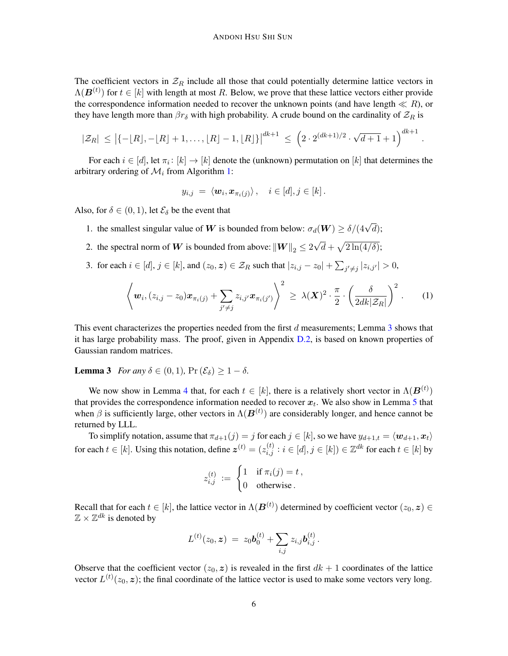The coefficient vectors in  $\mathcal{Z}_R$  include all those that could potentially determine lattice vectors in  $\Lambda(\boldsymbol{B}^{(t)})$  for  $t \in [k]$  with length at most R. Below, we prove that these lattice vectors either provide the correspondence information needed to recover the unknown points (and have length  $\ll R$ ), or they have length more than  $\beta r_{\delta}$  with high probability. A crude bound on the cardinality of  $\mathcal{Z}_R$  is

$$
|\mathcal{Z}_R| \leq \left| \{-\lfloor R \rfloor, -\lfloor R \rfloor + 1, \ldots, \lfloor R \rfloor - 1, \lfloor R \rfloor \} \right|^{dk+1} \leq \left( 2 \cdot 2^{(dk+1)/2} \cdot \sqrt{d+1} + 1 \right)^{dk+1}
$$

For each  $i \in [d]$ , let  $\pi_i \colon [k] \to [k]$  denote the (unknown) permutation on  $[k]$  that determines the arbitrary ordering of  $\mathcal{M}_i$  from Algorithm [1:](#page-4-0)

$$
y_{i,j} = \langle \boldsymbol{w}_i, \boldsymbol{x}_{\pi_i(j)} \rangle, \quad i \in [d], j \in [k].
$$

Also, for  $\delta \in (0, 1)$ , let  $\mathcal{E}_{\delta}$  be the event that

- 1. the smallest singular value of W is bounded from below:  $\sigma_d(\mathbf{W}) \ge \delta/(4\sqrt{d})$ ;
- 2. the spectral norm of  $W$  is bounded from above:  $\|W\|_2 \leq 2$ √  $\overline{d} + \sqrt{2 \ln(4/\delta)}$ ;
- 3. for each  $i \in [d], j \in [k]$ , and  $(z_0, z) \in \mathcal{Z}_R$  such that  $|z_{i,j} z_0| + \sum_{j' \neq j} |z_{i,j'}| > 0$ ,

$$
\left\langle \boldsymbol{w}_i, (z_{i,j}-z_0)\boldsymbol{x}_{\pi_i(j)} + \sum_{j'\neq j} z_{i,j'} \boldsymbol{x}_{\pi_i(j')} \right\rangle^2 \,\geq\, \lambda(\boldsymbol{X})^2 \cdot \frac{\pi}{2} \cdot \left( \frac{\delta}{2dk|\mathcal{Z}_R|} \right)^2 \,.
$$
 (1)

.

This event characterizes the properties needed from the first d measurements; Lemma [3](#page-5-0) shows that it has large probability mass. The proof, given in Appendix [D.2,](#page-20-0) is based on known properties of Gaussian random matrices.

<span id="page-5-0"></span>**Lemma 3** *For any*  $\delta \in (0, 1)$ ,  $\Pr(\mathcal{E}_{\delta}) \geq 1 - \delta$ .

We now show in Lemma [4](#page-5-1) that, for each  $t \in [k]$ , there is a relatively short vector in  $\Lambda(\boldsymbol{B}^{(t)})$ that provides the correspondence information needed to recover  $x_t$ . We also show in Lemma [5](#page-6-0) that when  $\beta$  is sufficiently large, other vectors in  $\Lambda(\boldsymbol{B}^{(t)})$  are considerably longer, and hence cannot be returned by LLL.

To simplify notation, assume that  $\pi_{d+1}(j) = j$  for each  $j \in [k]$ , so we have  $y_{d+1,t} = \langle w_{d+1}, x_t \rangle$ for each  $t\in[k]$ . Using this notation, define  $\boldsymbol{z}^{(t)}=(z_{i,j}^{(t)}:i\in[d],j\in[k])\in\mathbb{Z}^{dk}$  for each  $t\in[k]$  by

$$
z_{i,j}^{(t)} := \begin{cases} 1 & \text{if } \pi_i(j) = t, \\ 0 & \text{otherwise.} \end{cases}
$$

Recall that for each  $t\in[k]$ , the lattice vector in  $\Lambda(\bm{B}^{(t)})$  determined by coefficient vector  $(z_0,\bm{z})\in$  $\mathbb{Z} \times \mathbb{Z}^{dk}$  is denoted by

$$
L^{(t)}(z_0, \boldsymbol{z}) \; = \; z_0 \boldsymbol{b}_0^{(t)} + \sum_{i,j} z_{i,j} \boldsymbol{b}_{i,j}^{(t)} \, .
$$

<span id="page-5-1"></span>Observe that the coefficient vector  $(z_0, z)$  is revealed in the first  $dk + 1$  coordinates of the lattice vector  $L^{(t)}(z_0, \mathbf{z})$ ; the final coordinate of the lattice vector is used to make some vectors very long.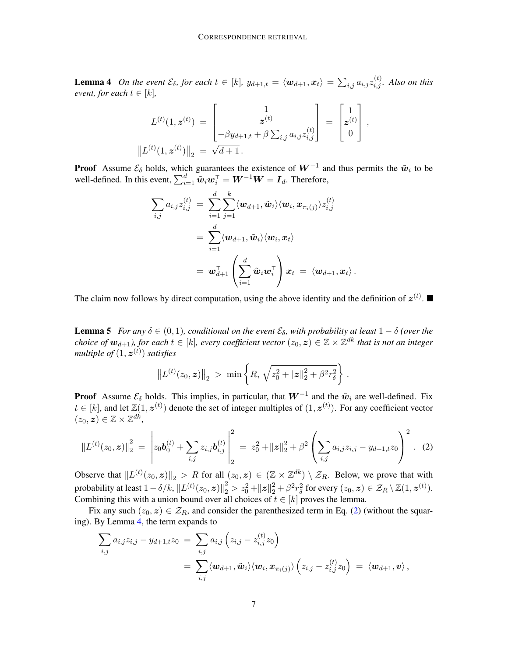**Lemma 4** On the event  $\mathcal{E}_{\delta}$ , for each  $t \in [k]$ ,  $y_{d+1,t} = \langle \mathbf{w}_{d+1}, \mathbf{x}_t \rangle = \sum_{i,j} a_{i,j} z_{i,j}^{(t)}$ . Also on this *event, for each*  $t \in [k]$ *,* 

$$
L^{(t)}(1, \mathbf{z}^{(t)}) = \begin{bmatrix} 1 \\ \mathbf{z}^{(t)} \\ -\beta y_{d+1,t} + \beta \sum_{i,j} a_{i,j} z_{i,j}^{(t)} \end{bmatrix} = \begin{bmatrix} 1 \\ \mathbf{z}^{(t)} \\ 0 \end{bmatrix},
$$

$$
||L^{(t)}(1, \mathbf{z}^{(t)})||_2 = \sqrt{d+1}.
$$

**Proof** Assume  $\mathcal{E}_{\delta}$  holds, which guarantees the existence of  $W^{-1}$  and thus permits the  $\tilde{\boldsymbol{w}}_i$  to be well-defined. In this event,  $\sum_{i=1}^d \tilde{w}_i w_i^\top = W^{-1}W = I_d$ . Therefore,

$$
\begin{aligned} \sum_{i,j} a_{i,j} z_{i,j}^{(t)} \ &= \ \sum_{i=1}^d \sum_{j=1}^k \langle \boldsymbol{w}_{d+1}, \tilde{\boldsymbol{w}}_i \rangle \langle \boldsymbol{w}_i, \boldsymbol{x}_{\pi_i(j)} \rangle z_{i,j}^{(t)} \\ &= \ \sum_{i=1}^d \langle \boldsymbol{w}_{d+1}, \tilde{\boldsymbol{w}}_i \rangle \langle \boldsymbol{w}_i, \boldsymbol{x}_t \rangle \\ &= \ \boldsymbol{w}_{d+1}^\top \left( \sum_{i=1}^d \tilde{\boldsymbol{w}}_i \boldsymbol{w}_i^\top \right) \boldsymbol{x}_t \ = \ \langle \boldsymbol{w}_{d+1}, \boldsymbol{x}_t \rangle \,. \end{aligned}
$$

The claim now follows by direct computation, using the above identity and the definition of  $z^{(t)}$ .

<span id="page-6-0"></span>**Lemma 5** *For any*  $\delta \in (0,1)$ *, conditional on the event*  $\mathcal{E}_{\delta}$ *, with probability at least*  $1 - \delta$  *(over the choice of*  $w_{d+1}$ *), for each*  $t \in [k]$ *, every coefficient vector*  $(z_0, \bm{z}) \in \mathbb{Z} \times \mathbb{Z}^{dk}$  *that is not an integer multiple of* (1, z (t) ) *satisfies*

<span id="page-6-1"></span>
$$
\left\| L^{(t)}(z_0, \mathbf{z}) \right\|_2 \, > \, \min \left\{ R, \, \sqrt{z_0^2 + \| \mathbf{z} \|_2^2 + \beta^2 r_\delta^2} \right\} \, .
$$

**Proof** Assume  $\mathcal{E}_{\delta}$  holds. This implies, in particular, that  $W^{-1}$  and the  $\tilde{w}_i$  are well-defined. Fix  $t \in [k]$ , and let  $\mathbb{Z}(1, z^{(t)})$  denote the set of integer multiples of  $(1, z^{(t)})$ . For any coefficient vector  $(z_0, z) \in \mathbb{Z} \times \mathbb{Z}^{dk},$ 

$$
\|L^{(t)}(z_0, \mathbf{z})\|_2^2 = \left\| z_0 \mathbf{b}_0^{(t)} + \sum_{i,j} z_{i,j} \mathbf{b}_{i,j}^{(t)} \right\|_2^2 = z_0^2 + \| \mathbf{z} \|_2^2 + \beta^2 \left( \sum_{i,j} a_{i,j} z_{i,j} - y_{d+1,t} z_0 \right)^2.
$$
 (2)

Observe that  $||L^{(t)}(z_0, z)||_2 > R$  for all  $(z_0, z) \in (\mathbb{Z} \times \mathbb{Z}^{dk}) \setminus \mathcal{Z}_R$ . Below, we prove that with probability at least  $1 - \delta/k$ ,  $\left\| L^{(t)}(z_0, \boldsymbol{z}) \right\|_2^2 > z_0^2 + \| \boldsymbol{z} \|_2^2 + \beta^2 r_\delta^2$  for every  $(z_0, \boldsymbol{z}) \in \mathcal{Z}_R \setminus \mathbb{Z}(1, \boldsymbol{z}^{(t)}).$ Combining this with a union bound over all choices of  $t \in [k]$  proves the lemma.

Fix any such  $(z_0, z) \in \mathcal{Z}_R$ , and consider the parenthesized term in Eq. [\(2\)](#page-6-1) (without the squaring). By Lemma [4,](#page-5-1) the term expands to

$$
\sum_{i,j} a_{i,j} z_{i,j} - y_{d+1,t} z_0 = \sum_{i,j} a_{i,j} \left( z_{i,j} - z_{i,j}^{(t)} z_0 \right)
$$
  
= 
$$
\sum_{i,j} \langle \mathbf{w}_{d+1}, \tilde{\mathbf{w}}_i \rangle \langle \mathbf{w}_i, \mathbf{x}_{\pi_i(j)} \rangle \left( z_{i,j} - z_{i,j}^{(t)} z_0 \right) = \langle \mathbf{w}_{d+1}, \mathbf{v} \rangle,
$$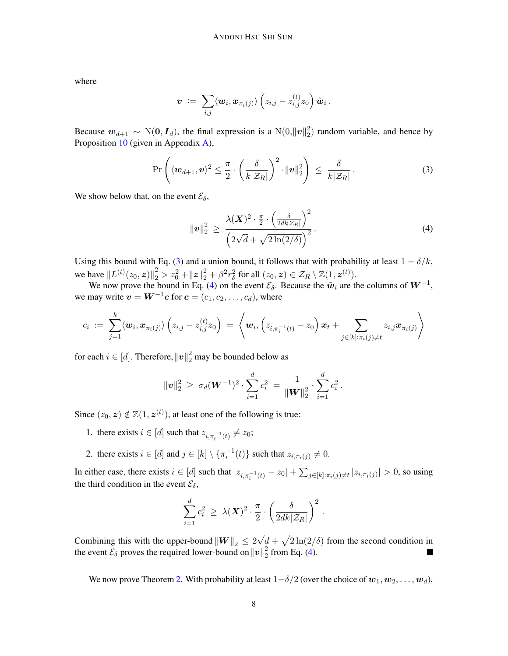where

$$
\boldsymbol{v} \; := \; \sum_{i,j} \langle \boldsymbol{w}_i, \boldsymbol{x}_{\pi_i(j)} \rangle \left( z_{i,j} - z^{(t)}_{i,j} z_0 \right) \tilde{\boldsymbol{w}}_i \, .
$$

Because  $w_{d+1} \sim N(0, I_d)$ , the final expression is a  $N(0, ||v||_2^2)$  $2<sub>2</sub>$ ) random variable, and hence by Proposition [10](#page-14-3) (given in Appendix  $\overline{A}$ ),

$$
\Pr\left(\langle \boldsymbol{w}_{d+1}, \boldsymbol{v}\rangle^2 \leq \frac{\pi}{2} \cdot \left(\frac{\delta}{k|\mathcal{Z}_R|}\right)^2 \cdot \|\boldsymbol{v}\|_2^2\right) \leq \frac{\delta}{k|\mathcal{Z}_R|}.
$$
 (3)

We show below that, on the event  $\mathcal{E}_{\delta}$ ,

<span id="page-7-1"></span><span id="page-7-0"></span>
$$
\|\boldsymbol{v}\|_2^2 \,\geq\, \frac{\lambda(\boldsymbol{X})^2 \cdot \frac{\pi}{2} \cdot \left(\frac{\delta}{2d k |\mathcal{Z}_R|}\right)^2}{\left(2\sqrt{d} + \sqrt{2\ln(2/\delta)}\right)^2}.\tag{4}
$$

Using this bound with Eq. [\(3\)](#page-7-0) and a union bound, it follows that with probability at least  $1 - \delta/k$ , we have  $||L^{(t)}(z_0, \mathbf{z})||_2^2 > z_0^2 + ||\mathbf{z}||_2^2 + \beta^2 r_\delta^2$  for all  $(z_0, \mathbf{z}) \in \mathcal{Z}_R \setminus \mathbb{Z}(1, \mathbf{z}^{(t)})$ .

We now prove the bound in Eq. [\(4\)](#page-7-1) on the event  $\mathcal{E}_{\delta}$ . Because the  $\tilde{w}_i$  are the columns of  $W^{-1}$ , we may write  $\boldsymbol{v} = \boldsymbol{W}^{-1}\boldsymbol{c}$  for  $\boldsymbol{c} = (c_1, c_2, \dots, c_d)$ , where

$$
c_i \; := \; \sum_{j=1}^k \langle \bm{w}_i, \bm{x}_{\pi_i(j)} \rangle \left( z_{i,j} - z_{i,j}^{(t)} z_0 \right) \; = \; \left\langle \bm{w}_i, \left( z_{i,\pi_i^{-1}(t)} - z_0 \right) \bm{x}_t + \sum_{j \in [k]: \pi_i(j) \neq t} z_{i,j} \bm{x}_{\pi_i(j)} \right\rangle
$$

for each  $i \in [d]$ . Therefore,  $\|\boldsymbol{v}\|_2^2$  may be bounded below as

$$
\|\bm{v}\|_2^2 \ \ge \ \sigma_d (\bm{W}^{-1})^2 \cdot \sum_{i=1}^d c_i^2 \ = \ \frac{1}{\|\bm{W}\|_2^2} \cdot \sum_{i=1}^d c_i^2 \,.
$$

Since  $(z_0, z) \notin \mathbb{Z}(1, z^{(t)})$ , at least one of the following is true:

- 1. there exists  $i \in [d]$  such that  $z_{i, \pi_i^{-1}(t)} \neq z_0$ ;
- 2. there exists  $i \in [d]$  and  $j \in [k] \setminus {\{\pi_i^{-1}(t)\}}$  such that  $z_{i,\pi_i(j)} \neq 0$ .

In either case, there exists  $i \in [d]$  such that  $|z_{i,\pi_i^{-1}(t)} - z_0| + \sum_{j \in [k]: \pi_i(j) \neq t} |z_{i,\pi_i(j)}| > 0$ , so using the third condition in the event  $\mathcal{E}_{\delta}$ ,

$$
\sum_{i=1}^d c_i^2 \geq \lambda(\boldsymbol{X})^2 \cdot \frac{\pi}{2} \cdot \left(\frac{\delta}{2dk|\mathcal{Z}_R|}\right)^2.
$$

√  $\overline{d} + \sqrt{2 \ln(2/\delta)}$  from the second condition in Combining this with the upper-bound  $\left\|W\right\|_2 \leq 2$ the event  $\mathcal{E}_{\delta}$  proves the required lower-bound on  $||v||_2^2$  $^{2}_{2}$  from Eq. [\(4\)](#page-7-1). **The State** 

We now prove Theorem [2.](#page-3-0) With probability at least  $1-\delta/2$  (over the choice of  $w_1, w_2, \ldots, w_d$ ),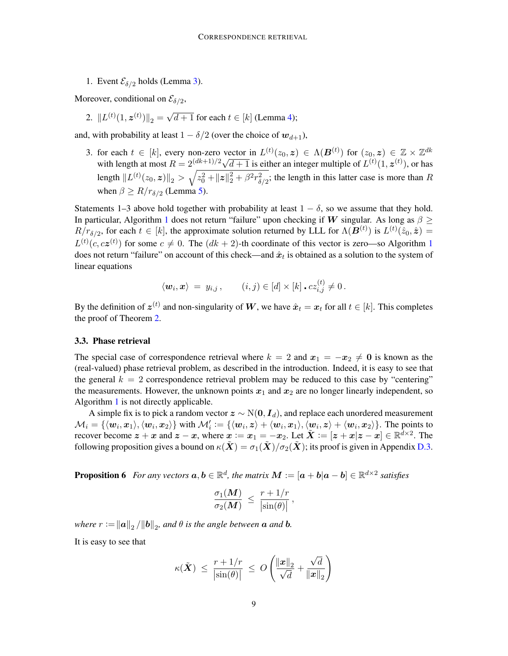1. Event  $\mathcal{E}_{\delta/2}$  holds (Lemma [3\)](#page-5-0).

Moreover, conditional on  $\mathcal{E}_{\delta/2}$ ,

2.  $||L^{(t)}(1, z^{(t)})||_2 =$ √  $d+1$  for each  $t \in [k]$  (Lemma [4\)](#page-5-1);

and, with probability at least  $1 - \delta/2$  (over the choice of  $w_{d+1}$ ),

3. for each  $t \in [k]$ , every non-zero vector in  $L^{(t)}(z_0, z) \in \Lambda(B^{(t)})$  for  $(z_0, z) \in \mathbb{Z} \times \mathbb{Z}^{dk}$ with length at most  $R = 2^{(dk+1)/2} \sqrt{d+1}$  is either an integer multiple of  $L^{(t)}(1, z^{(t)})$ , or has length  $||L^{(t)}(z_0, z)||_2 > \sqrt{z_0^2 + ||z||_2^2 + \beta^2 r_{\delta/2}^2}$ ; the length in this latter case is more than R when  $\beta \ge R/r_{\delta/2}$  (Lemma [5\)](#page-6-0).

Statements 1–3 above hold together with probability at least  $1 - \delta$ , so we assume that they hold. In particular, Algorithm [1](#page-4-0) does not return "failure" upon checking if W singular. As long as  $\beta \geq$  $R/r_{\delta/2}$ , for each  $t \in [k]$ , the approximate solution returned by LLL for  $\Lambda(B^{(t)})$  is  $L^{(t)}(\hat{z}_0, \hat{z}) =$  $L^{(t)}(c, cz^{(t)})$  for some  $c \neq 0$ . The  $(dk + 2)$ -th coordinate of this vector is zero—so Algorithm [1](#page-4-0) does not return "failure" on account of this check—and  $\hat{x}_t$  is obtained as a solution to the system of linear equations

$$
\langle \mathbf{w}_i, \mathbf{x} \rangle = y_{i,j}, \qquad (i,j) \in [d] \times [k] \cdot cz_{i,j}^{(t)} \neq 0.
$$

By the definition of  $\bm{z}^{(t)}$  and non-singularity of  $\bm{W}$ , we have  $\hat{\bm{x}}_t = \bm{x}_t$  for all  $t \in [k]$ . This completes the proof of Theorem [2.](#page-3-0)

#### 3.3. Phase retrieval

The special case of correspondence retrieval where  $k = 2$  and  $x_1 = -x_2 \neq 0$  is known as the (real-valued) phase retrieval problem, as described in the introduction. Indeed, it is easy to see that the general  $k = 2$  correspondence retrieval problem may be reduced to this case by "centering" the measurements. However, the unknown points  $x_1$  and  $x_2$  are no longer linearly independent, so Algorithm [1](#page-4-0) is not directly applicable.

A simple fix is to pick a random vector  $z \sim N(0, I_d)$ , and replace each unordered measurement  $\mathcal{M}_i = \{\langle \boldsymbol{w}_i, \boldsymbol{x}_1 \rangle, \langle \boldsymbol{w}_i, \boldsymbol{x}_2 \rangle\}$  with  $\mathcal{M}_i' := \{\langle \boldsymbol{w}_i, \boldsymbol{z} \rangle + \langle \boldsymbol{w}_i, \boldsymbol{x}_1 \rangle, \langle \boldsymbol{w}_i, \boldsymbol{z} \rangle + \langle \boldsymbol{w}_i, \boldsymbol{x}_2 \rangle\}$ . The points to recover become  $z + x$  and  $z - x$ , where  $x := x_1 = -x_2$ . Let  $\tilde{X} := [z + x | z - x] \in \mathbb{R}^{\tilde{d} \times 2}$ . The following proposition gives a bound on  $\kappa(\tilde{\boldsymbol{X}}) = \sigma_1(\tilde{\boldsymbol{X}})/\sigma_2(\tilde{\boldsymbol{X}})$ ; its proof is given in Appendix [D.3.](#page-20-1)

<span id="page-8-0"></span>**Proposition 6** For any vectors  $a, b \in \mathbb{R}^d$ , the matrix  $M := [a + b|a - b] \in \mathbb{R}^{d \times 2}$  satisfies

$$
\frac{\sigma_1(\boldsymbol{M})}{\sigma_2(\boldsymbol{M})} \ \leq \ \frac{r+1/r}{|\sin(\theta)|} \ ,
$$

where  $r := ||a||_2 / ||b||_2$ , and  $\theta$  is the angle between  $a$  and  $b$ .

It is easy to see that

$$
\kappa(\tilde{\boldsymbol{X}}) \ \leq \ \frac{r + 1/r}{\left|\sin(\theta)\right|} \ \leq \ O\left(\frac{\|\boldsymbol{x}\|_2}{\sqrt{d}} + \frac{\sqrt{d}}{\|\boldsymbol{x}\|_2}\right)
$$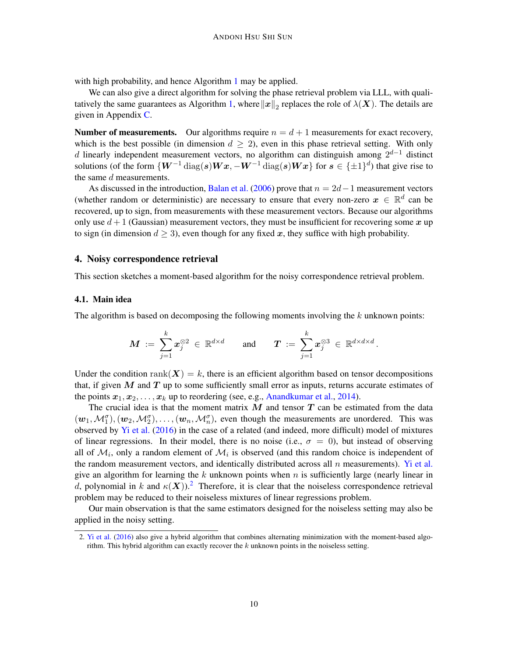with high probability, and hence Algorithm [1](#page-4-0) may be applied.

We can also give a direct algorithm for solving the phase retrieval problem via LLL, with quali-tatively the same guarantees as Algorithm [1,](#page-4-0) where  $\|x\|_2$  replaces the role of  $\lambda(\bm{X})$ . The details are given in Appendix [C.](#page-15-0)

**Number of measurements.** Our algorithms require  $n = d + 1$  measurements for exact recovery, which is the best possible (in dimension  $d \geq 2$ ), even in this phase retrieval setting. With only d linearly independent measurement vectors, no algorithm can distinguish among  $2^{d-1}$  distinct solutions (of the form  $\{W^{-1}\text{diag}(s)Wx, -W^{-1}\text{diag}(s)Wx\}$  for  $s \in \{\pm 1\}^d$ ) that give rise to the same  $d$  measurements.

As discussed in the introduction, [Balan et al.](#page-12-10) [\(2006\)](#page-12-10) prove that  $n = 2d-1$  measurement vectors (whether random or deterministic) are necessary to ensure that every non-zero  $x \in \mathbb{R}^d$  can be recovered, up to sign, from measurements with these measurement vectors. Because our algorithms only use  $d+1$  (Gaussian) measurement vectors, they must be insufficient for recovering some x up to sign (in dimension  $d > 3$ ), even though for any fixed x, they suffice with high probability.

## 4. Noisy correspondence retrieval

This section sketches a moment-based algorithm for the noisy correspondence retrieval problem.

### 4.1. Main idea

The algorithm is based on decomposing the following moments involving the  $k$  unknown points:

$$
\boldsymbol{M} \ := \ \sum_{j=1}^k \boldsymbol{x}_j^{\otimes 2} \ \in \ \mathbb{R}^{d \times d} \qquad \text{and} \qquad \boldsymbol{T} \ := \ \sum_{j=1}^k \boldsymbol{x}_j^{\otimes 3} \ \in \ \mathbb{R}^{d \times d \times d} \, .
$$

Under the condition rank( $X$ ) = k, there is an efficient algorithm based on tensor decompositions that, if given  $M$  and  $T$  up to some sufficiently small error as inputs, returns accurate estimates of the points  $x_1, x_2, \ldots, x_k$  up to reordering (see, e.g., [Anandkumar et al.,](#page-12-11) [2014\)](#page-12-11).

The crucial idea is that the moment matrix  $M$  and tensor  $T$  can be estimated from the data  $(w_1, M_1^{\sigma}), (w_2, M_2^{\sigma}), \ldots, (w_n, M_n^{\sigma})$ , even though the measurements are unordered. This was observed by [Yi et al.](#page-14-1) [\(2016\)](#page-14-1) in the case of a related (and indeed, more difficult) model of mixtures of linear regressions. In their model, there is no noise (i.e.,  $\sigma = 0$ ), but instead of observing all of  $\mathcal{M}_i$ , only a random element of  $\mathcal{M}_i$  is observed (and this random choice is independent of the random measurement vectors, and identically distributed across all  $n$  measurements). [Yi et al.](#page-14-1) give an algorithm for learning the k unknown points when  $n$  is sufficiently large (nearly linear in d, polynomial in k and  $\kappa(X)$ ).<sup>[2](#page-9-0)</sup> Therefore, it is clear that the noiseless correspondence retrieval problem may be reduced to their noiseless mixtures of linear regressions problem.

Our main observation is that the same estimators designed for the noiseless setting may also be applied in the noisy setting.

<span id="page-9-0"></span><sup>2.</sup> [Yi et al.](#page-14-1) [\(2016\)](#page-14-1) also give a hybrid algorithm that combines alternating minimization with the moment-based algorithm. This hybrid algorithm can exactly recover the  $k$  unknown points in the noiseless setting.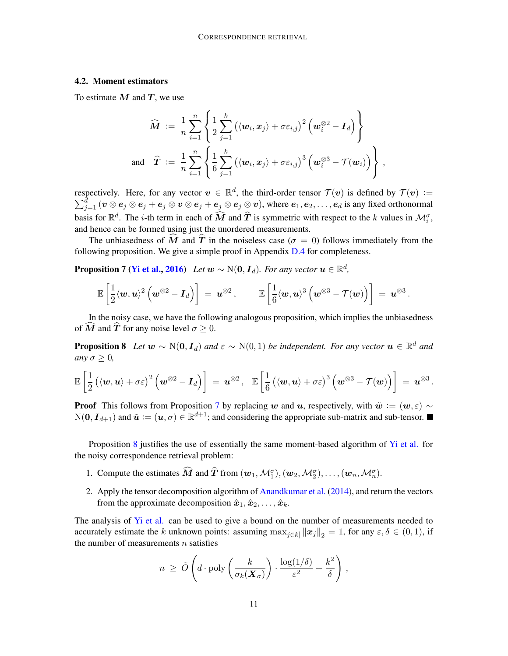### 4.2. Moment estimators

To estimate  $M$  and  $T$ , we use

<span id="page-10-0"></span>
$$
\widehat{\boldsymbol{M}}\;:=\;\frac{1}{n}\sum_{i=1}^n\left\{\frac{1}{2}\sum_{j=1}^k\left(\langle\boldsymbol{w}_i,\boldsymbol{x}_j\rangle+\sigma\varepsilon_{i,j}\right)^2\left(\boldsymbol{w}_i^{\otimes2}-\boldsymbol{I}_d\right)\right\}\\\text{and}\quad\widehat{\boldsymbol{T}}\;:=\;\frac{1}{n}\sum_{i=1}^n\left\{\frac{1}{6}\sum_{j=1}^k\left(\langle\boldsymbol{w}_i,\boldsymbol{x}_j\rangle+\sigma\varepsilon_{i,j}\right)^3\left(\boldsymbol{w}_i^{\otimes3}-\mathcal{T}(\boldsymbol{w}_i)\right)\right\}\,,
$$

respectively. Here, for any vector  $v \in \mathbb{R}^d$ , the third-order tensor  $\mathcal{T}(v)$  is defined by  $\mathcal{T}(v) :=$  $\sum_{j=1}^{\bar{d}}\,(\bm{v}\otimes\bm{e}_j\otimes\bm{e}_j+\bm{e}_j\otimes\bm{v}\otimes\bm{e}_j+\bm{e}_j\otimes\bm{e}_j\otimes\bm{v}),$  where  $\bm{e}_1,\bm{e}_2,\ldots,\bm{e}_d$  is any fixed orthonormal basis for  $\mathbb{R}^d$ . The *i*-th term in each of  $\widehat{M}$  and  $\widehat{T}$  is symmetric with respect to the k values in  $\mathcal{M}_i^{\sigma}$ , and hence can be formed using just the unordered measurements.

The unbiasedness of  $\hat{M}$  and  $\hat{T}$  in the noiseless case ( $\sigma = 0$ ) follows immediately from the following proposition. We give a simple proof in Appendix [D.4](#page-21-1) for completeness.

**Proposition 7 [\(Yi et al.,](#page-14-1) [2016\)](#page-14-1)** Let  $w \sim N(0, I_d)$ . For any vector  $u \in \mathbb{R}^d$ ,

<span id="page-10-1"></span>
$$
\mathbb{E}\left[\frac{1}{2}\langle{\bm{w}},\bm{u}\rangle^2\left(\bm{w}^{\otimes2}-\bm{I}_d\right)\right]\;=\;\bm{u}^{\otimes2}\,,\qquad\mathbb{E}\left[\frac{1}{6}\langle{\bm{w}},\bm{u}\rangle^3\left(\bm{w}^{\otimes3}-\mathcal{T}(\bm{w})\right)\right]\;=\;\bm{u}^{\otimes3}\,.
$$

In the noisy case, we have the following analogous proposition, which implies the unbiasedness of  $\overline{M}$  and  $\overline{T}$  for any noise level  $\sigma \geq 0$ .

**Proposition 8** Let  $w \sim N(0, I_d)$  and  $\varepsilon \sim N(0, 1)$  be independent. For any vector  $u \in \mathbb{R}^d$  and *any*  $\sigma \geq 0$ *,* 

$$
\mathbb{E}\left[\frac{1}{2}\left(\langle \boldsymbol{w}, \boldsymbol{u}\rangle + \sigma \varepsilon\right)^2 \left(\boldsymbol{w}^{\otimes 2} - \boldsymbol{I}_d\right)\right] \;=\; \boldsymbol{u}^{\otimes 2}\,,\ \ \, \mathbb{E}\left[\frac{1}{6}\left(\langle \boldsymbol{w}, \boldsymbol{u}\rangle + \sigma \varepsilon\right)^3 \left(\boldsymbol{w}^{\otimes 3} - \mathcal{T}(\boldsymbol{w})\right)\right] \;=\; \boldsymbol{u}^{\otimes 3}\,.
$$

**Proof** This follows from Proposition [7](#page-10-0) by replacing w and u, respectively, with  $\tilde{w} := (w, \varepsilon) \sim$  $N(\mathbf{0}, \mathbf{I}_{d+1})$  and  $\tilde{\boldsymbol{u}} := (\boldsymbol{u}, \sigma) \in \mathbb{R}^{d+1}$ ; and considering the appropriate sub-matrix and sub-tensor.

Proposition [8](#page-10-1) justifies the use of essentially the same moment-based algorithm of [Yi et al.](#page-14-1) for the noisy correspondence retrieval problem:

- 1. Compute the estimates  $\widehat{M}$  and  $\widehat{T}$  from  $(w_1, \mathcal{M}_1^{\sigma}), (w_2, \mathcal{M}_2^{\sigma}), \ldots, (w_n, \mathcal{M}_n^{\sigma}).$
- 2. Apply the tensor decomposition algorithm of [Anandkumar et al.](#page-12-11) [\(2014\)](#page-12-11), and return the vectors from the approximate decomposition  $\hat{x}_1, \hat{x}_2, \ldots, \hat{x}_k$ .

The analysis of [Yi et al.](#page-14-1) can be used to give a bound on the number of measurements needed to accurately estimate the k unknown points: assuming  $\max_{j \in k} ||x_j||_2 = 1$ , for any  $\varepsilon, \delta \in (0, 1)$ , if the number of measurements  $n$  satisfies

$$
n \ge \tilde{O}\left(d \cdot \text{poly}\left(\frac{k}{\sigma_k(\boldsymbol{X}_{\sigma})}\right) \cdot \frac{\log(1/\delta)}{\varepsilon^2} + \frac{k^2}{\delta}\right),
$$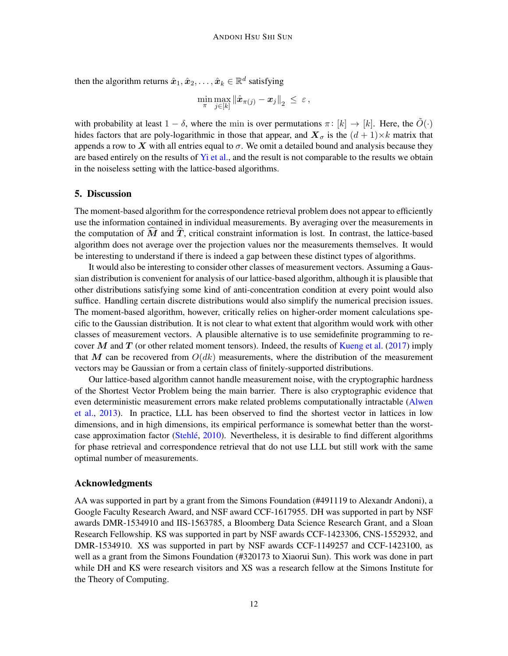then the algorithm returns  $\hat{\boldsymbol{x}}_1, \hat{\boldsymbol{x}}_2, \dots, \hat{\boldsymbol{x}}_k \in \mathbb{R}^d$  satisfying

$$
\min_{\pi} \max_{j \in [k]} \left\| \hat{\boldsymbol{x}}_{\pi(j)} - \boldsymbol{x}_j \right\|_2 \ \leq \ \varepsilon \,,
$$

with probability at least  $1 - \delta$ , where the min is over permutations  $\pi : [k] \to [k]$ . Here, the  $\tilde{O}(\cdot)$ hides factors that are poly-logarithmic in those that appear, and  $\mathbf{X}_{\sigma}$  is the  $(d+1)\times k$  matrix that appends a row to X with all entries equal to  $\sigma$ . We omit a detailed bound and analysis because they are based entirely on the results of  $Y_i$  et al., and the result is not comparable to the results we obtain in the noiseless setting with the lattice-based algorithms.

### 5. Discussion

The moment-based algorithm for the correspondence retrieval problem does not appear to efficiently use the information contained in individual measurements. By averaging over the measurements in the computation of  $\overline{M}$  and  $\overline{T}$ , critical constraint information is lost. In contrast, the lattice-based algorithm does not average over the projection values nor the measurements themselves. It would be interesting to understand if there is indeed a gap between these distinct types of algorithms.

It would also be interesting to consider other classes of measurement vectors. Assuming a Gaussian distribution is convenient for analysis of our lattice-based algorithm, although it is plausible that other distributions satisfying some kind of anti-concentration condition at every point would also suffice. Handling certain discrete distributions would also simplify the numerical precision issues. The moment-based algorithm, however, critically relies on higher-order moment calculations specific to the Gaussian distribution. It is not clear to what extent that algorithm would work with other classes of measurement vectors. A plausible alternative is to use semidefinite programming to re-cover M and T (or other related moment tensors). Indeed, the results of [Kueng et al.](#page-13-13) [\(2017\)](#page-13-13) imply that M can be recovered from  $O(dk)$  measurements, where the distribution of the measurement vectors may be Gaussian or from a certain class of finitely-supported distributions.

Our lattice-based algorithm cannot handle measurement noise, with the cryptographic hardness of the Shortest Vector Problem being the main barrier. There is also cryptographic evidence that even deterministic measurement errors make related problems computationally intractable [\(Alwen](#page-12-12) [et al.,](#page-12-12) [2013\)](#page-12-12). In practice, LLL has been observed to find the shortest vector in lattices in low dimensions, and in high dimensions, its empirical performance is somewhat better than the worst-case approximation factor (Stehlé, [2010\)](#page-13-14). Nevertheless, it is desirable to find different algorithms for phase retrieval and correspondence retrieval that do not use LLL but still work with the same optimal number of measurements.

#### Acknowledgments

AA was supported in part by a grant from the Simons Foundation (#491119 to Alexandr Andoni), a Google Faculty Research Award, and NSF award CCF-1617955. DH was supported in part by NSF awards DMR-1534910 and IIS-1563785, a Bloomberg Data Science Research Grant, and a Sloan Research Fellowship. KS was supported in part by NSF awards CCF-1423306, CNS-1552932, and DMR-1534910. XS was supported in part by NSF awards CCF-1149257 and CCF-1423100, as well as a grant from the Simons Foundation (#320173 to Xiaorui Sun). This work was done in part while DH and KS were research visitors and XS was a research fellow at the Simons Institute for the Theory of Computing.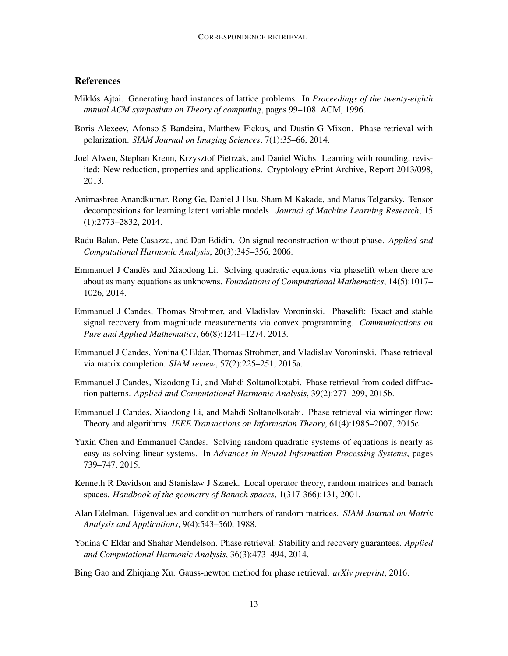# References

- <span id="page-12-9"></span>Miklos Ajtai. Generating hard instances of lattice problems. In ´ *Proceedings of the twenty-eighth annual ACM symposium on Theory of computing*, pages 99–108. ACM, 1996.
- <span id="page-12-2"></span>Boris Alexeev, Afonso S Bandeira, Matthew Fickus, and Dustin G Mixon. Phase retrieval with polarization. *SIAM Journal on Imaging Sciences*, 7(1):35–66, 2014.
- <span id="page-12-12"></span>Joel Alwen, Stephan Krenn, Krzysztof Pietrzak, and Daniel Wichs. Learning with rounding, revisited: New reduction, properties and applications. Cryptology ePrint Archive, Report 2013/098, 2013.
- <span id="page-12-11"></span>Animashree Anandkumar, Rong Ge, Daniel J Hsu, Sham M Kakade, and Matus Telgarsky. Tensor decompositions for learning latent variable models. *Journal of Machine Learning Research*, 15 (1):2773–2832, 2014.
- <span id="page-12-10"></span>Radu Balan, Pete Casazza, and Dan Edidin. On signal reconstruction without phase. *Applied and Computational Harmonic Analysis*, 20(3):345–356, 2006.
- <span id="page-12-1"></span>Emmanuel J Candes and Xiaodong Li. Solving quadratic equations via phaselift when there are ` about as many equations as unknowns. *Foundations of Computational Mathematics*, 14(5):1017– 1026, 2014.
- <span id="page-12-0"></span>Emmanuel J Candes, Thomas Strohmer, and Vladislav Voroninski. Phaselift: Exact and stable signal recovery from magnitude measurements via convex programming. *Communications on Pure and Applied Mathematics*, 66(8):1241–1274, 2013.
- <span id="page-12-4"></span>Emmanuel J Candes, Yonina C Eldar, Thomas Strohmer, and Vladislav Voroninski. Phase retrieval via matrix completion. *SIAM review*, 57(2):225–251, 2015a.
- <span id="page-12-5"></span>Emmanuel J Candes, Xiaodong Li, and Mahdi Soltanolkotabi. Phase retrieval from coded diffraction patterns. *Applied and Computational Harmonic Analysis*, 39(2):277–299, 2015b.
- <span id="page-12-6"></span>Emmanuel J Candes, Xiaodong Li, and Mahdi Soltanolkotabi. Phase retrieval via wirtinger flow: Theory and algorithms. *IEEE Transactions on Information Theory*, 61(4):1985–2007, 2015c.
- <span id="page-12-7"></span>Yuxin Chen and Emmanuel Candes. Solving random quadratic systems of equations is nearly as easy as solving linear systems. In *Advances in Neural Information Processing Systems*, pages 739–747, 2015.
- <span id="page-12-14"></span>Kenneth R Davidson and Stanislaw J Szarek. Local operator theory, random matrices and banach spaces. *Handbook of the geometry of Banach spaces*, 1(317-366):131, 2001.
- <span id="page-12-13"></span>Alan Edelman. Eigenvalues and condition numbers of random matrices. *SIAM Journal on Matrix Analysis and Applications*, 9(4):543–560, 1988.
- <span id="page-12-3"></span>Yonina C Eldar and Shahar Mendelson. Phase retrieval: Stability and recovery guarantees. *Applied and Computational Harmonic Analysis*, 36(3):473–494, 2014.

<span id="page-12-8"></span>Bing Gao and Zhiqiang Xu. Gauss-newton method for phase retrieval. *arXiv preprint*, 2016.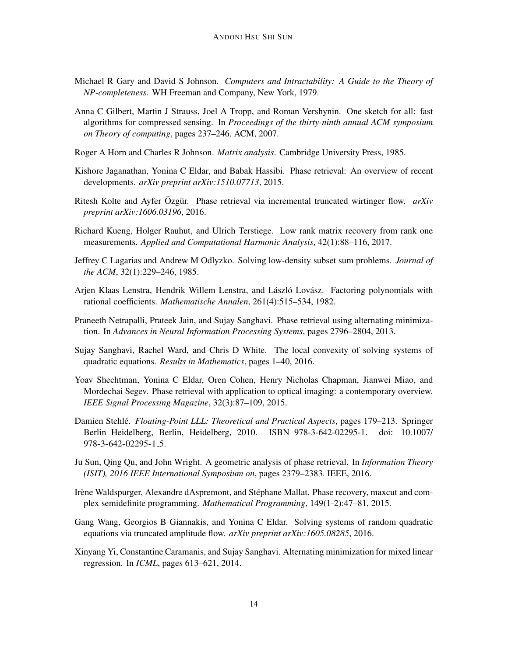- <span id="page-13-10"></span>Michael R Gary and David S Johnson. *Computers and Intractability: A Guide to the Theory of NP-completeness*. WH Freeman and Company, New York, 1979.
- <span id="page-13-12"></span>Anna C Gilbert, Martin J Strauss, Joel A Tropp, and Roman Vershynin. One sketch for all: fast algorithms for compressed sensing. In *Proceedings of the thirty-ninth annual ACM symposium on Theory of computing*, pages 237–246. ACM, 2007.
- <span id="page-13-15"></span>Roger A Horn and Charles R Johnson. *Matrix analysis*. Cambridge University Press, 1985.
- <span id="page-13-1"></span>Kishore Jaganathan, Yonina C Eldar, and Babak Hassibi. Phase retrieval: An overview of recent developments. *arXiv preprint arXiv:1510.07713*, 2015.
- <span id="page-13-6"></span>Ritesh Kolte and Ayfer Özgür. Phase retrieval via incremental truncated wirtinger flow. *arXiv preprint arXiv:1606.03196*, 2016.
- <span id="page-13-13"></span>Richard Kueng, Holger Rauhut, and Ulrich Terstiege. Low rank matrix recovery from rank one measurements. *Applied and Computational Harmonic Analysis*, 42(1):88–116, 2017.
- <span id="page-13-9"></span>Jeffrey C Lagarias and Andrew M Odlyzko. Solving low-density subset sum problems. *Journal of the ACM*, 32(1):229–246, 1985.
- <span id="page-13-8"></span>Arjen Klaas Lenstra, Hendrik Willem Lenstra, and László Lovász. Factoring polynomials with rational coefficients. *Mathematische Annalen*, 261(4):515–534, 1982.
- <span id="page-13-2"></span>Praneeth Netrapalli, Prateek Jain, and Sujay Sanghavi. Phase retrieval using alternating minimization. In *Advances in Neural Information Processing Systems*, pages 2796–2804, 2013.
- <span id="page-13-4"></span>Sujay Sanghavi, Rachel Ward, and Chris D White. The local convexity of solving systems of quadratic equations. *Results in Mathematics*, pages 1–40, 2016.
- <span id="page-13-0"></span>Yoav Shechtman, Yonina C Eldar, Oren Cohen, Henry Nicholas Chapman, Jianwei Miao, and Mordechai Segev. Phase retrieval with application to optical imaging: a contemporary overview. *IEEE Signal Processing Magazine*, 32(3):87–109, 2015.
- <span id="page-13-14"></span>Damien Stehlé. *Floating-Point LLL: Theoretical and Practical Aspects*, pages 179–213. Springer Berlin Heidelberg, Berlin, Heidelberg, 2010. ISBN 978-3-642-02295-1. doi: 10.1007/ 978-3-642-02295-1 5.
- <span id="page-13-7"></span>Ju Sun, Qing Qu, and John Wright. A geometric analysis of phase retrieval. In *Information Theory (ISIT), 2016 IEEE International Symposium on*, pages 2379–2383. IEEE, 2016.
- <span id="page-13-3"></span>Irène Waldspurger, Alexandre dAspremont, and Stéphane Mallat. Phase recovery, maxcut and complex semidefinite programming. *Mathematical Programming*, 149(1-2):47–81, 2015.
- <span id="page-13-5"></span>Gang Wang, Georgios B Giannakis, and Yonina C Eldar. Solving systems of random quadratic equations via truncated amplitude flow. *arXiv preprint arXiv:1605.08285*, 2016.
- <span id="page-13-11"></span>Xinyang Yi, Constantine Caramanis, and Sujay Sanghavi. Alternating minimization for mixed linear regression. In *ICML*, pages 613–621, 2014.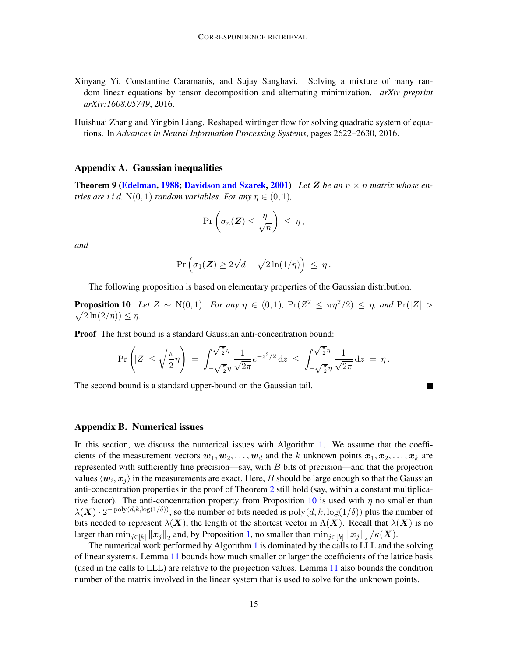- <span id="page-14-1"></span>Xinyang Yi, Constantine Caramanis, and Sujay Sanghavi. Solving a mixture of many random linear equations by tensor decomposition and alternating minimization. *arXiv preprint arXiv:1608.05749*, 2016.
- <span id="page-14-0"></span>Huishuai Zhang and Yingbin Liang. Reshaped wirtinger flow for solving quadratic system of equations. In *Advances in Neural Information Processing Systems*, pages 2622–2630, 2016.

### <span id="page-14-4"></span>Appendix A. Gaussian inequalities

<span id="page-14-6"></span>**Theorem 9 [\(Edelman,](#page-12-13) [1988;](#page-12-13) [Davidson and Szarek,](#page-12-14) [2001\)](#page-12-14)** Let Z be an  $n \times n$  matrix whose en*tries are i.i.d.*  $N(0, 1)$  *random variables. For any*  $\eta \in (0, 1)$ *,* 

<span id="page-14-3"></span>
$$
\Pr\left(\sigma_n(\boldsymbol{Z}) \leq \frac{\eta}{\sqrt{n}}\right) \leq \eta,
$$

*and*

$$
\Pr\left(\sigma_1(\mathbf{Z}) \ge 2\sqrt{d} + \sqrt{2\ln(1/\eta)}\right) \le \eta.
$$

The following proposition is based on elementary properties of the Gaussian distribution.

**Proposition 10** Let  $Z \sim N(0,1)$ . For any  $\eta \in (0,1)$ ,  $Pr(Z^2 \leq \pi \eta^2/2) \leq \eta$ , and  $Pr(|Z| >$  $\sqrt{2\ln(2/\eta)} \leq \eta$ .

Proof The first bound is a standard Gaussian anti-concentration bound:

$$
\Pr\left(|Z| \leq \sqrt{\frac{\pi}{2}}\eta\right) \ = \ \int_{-\sqrt{\frac{\pi}{2}}\eta}^{\sqrt{\frac{\pi}{2}}\eta} \frac{1}{\sqrt{2\pi}} e^{-z^2/2} \, \mathrm{d}z \ \leq \ \int_{-\sqrt{\frac{\pi}{2}}\eta}^{\sqrt{\frac{\pi}{2}}\eta} \frac{1}{\sqrt{2\pi}} \, \mathrm{d}z \ = \ \eta \, .
$$

The second bound is a standard upper-bound on the Gaussian tail.

### <span id="page-14-2"></span>Appendix B. Numerical issues

In this section, we discuss the numerical issues with Algorithm [1.](#page-4-0) We assume that the coefficients of the measurement vectors  $w_1, w_2, \ldots, w_d$  and the k unknown points  $x_1, x_2, \ldots, x_k$  are represented with sufficiently fine precision—say, with  $B$  bits of precision—and that the projection values  $\langle w_i, x_j \rangle$  in the measurements are exact. Here, B should be large enough so that the Gaussian anti-concentration properties in the proof of Theorem [2](#page-3-0) still hold (say, within a constant multiplica-tive factor). The anti-concentration property from Proposition [10](#page-14-3) is used with  $\eta$  no smaller than  $\lambda(X) \cdot 2^{-\text{poly}(d,k,\log(1/\delta))}$ , so the number of bits needed is  $\text{poly}(d, k, \log(1/\delta))$  plus the number of bits needed to represent  $\lambda(X)$ , the length of the shortest vector in  $\Lambda(X)$ . Recall that  $\lambda(X)$  is no larger than  $\min_{j\in[k]}\|x_j\|_2$  and, by Proposition [1,](#page-3-1) no smaller than  $\min_{j\in[k]}\|x_j\|_2$  / $\kappa(\bm{X}).$ 

<span id="page-14-5"></span>The numerical work performed by Algorithm [1](#page-4-0) is dominated by the calls to LLL and the solving of linear systems. Lemma [11](#page-14-5) bounds how much smaller or larger the coefficients of the lattice basis (used in the calls to LLL) are relative to the projection values. Lemma [11](#page-14-5) also bounds the condition number of the matrix involved in the linear system that is used to solve for the unknown points.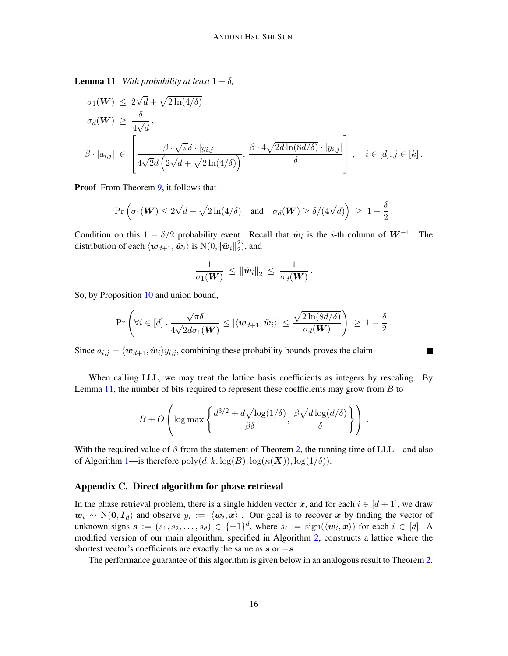**Lemma 11** *With probability at least*  $1 - \delta$ *,* 

$$
\sigma_1(\mathbf{W}) \le 2\sqrt{d} + \sqrt{2\ln(4/\delta)},
$$
  
\n
$$
\sigma_d(\mathbf{W}) \ge \frac{\delta}{4\sqrt{d}},
$$
  
\n
$$
\beta \cdot |a_{i,j}| \in \left[\frac{\beta \cdot \sqrt{\pi} \delta \cdot |y_{i,j}|}{4\sqrt{2}d\left(2\sqrt{d} + \sqrt{2\ln(4/\delta)}\right)}, \frac{\beta \cdot 4\sqrt{2d\ln(8d/\delta)} \cdot |y_{i,j}|}{\delta}\right], \quad i \in [d], j \in [k].
$$

Proof From Theorem [9,](#page-14-6) it follows that

$$
\Pr\Big(\sigma_1(\boldsymbol{W}) \leq 2\sqrt{d} + \sqrt{2\ln(4/\delta)} \quad \text{and} \quad \sigma_d(\boldsymbol{W}) \geq \delta/(4\sqrt{d})\Big) \ \geq \ 1 - \frac{\delta}{2}\,.
$$

Condition on this  $1 - \delta/2$  probability event. Recall that  $\tilde{w}_i$  is the *i*-th column of  $W^{-1}$ . The distribution of each  $\langle {\bm{w}}_{d+1}, \tilde{{\bm{w}}}_i \rangle$  is  $\text{N}(0,\|\tilde{{\bm{w}}}_i\|_2^2$  $_2^2$ ), and

$$
\frac{1}{\sigma_1({\boldsymbol W})}\ \leq \left\|\tilde{\boldsymbol w}_i\right\|_2\ \leq\ \frac{1}{\sigma_d({\boldsymbol W})}\,.
$$

So, by Proposition [10](#page-14-3) and union bound,

$$
\Pr\left(\forall i \in [d] \cdot \frac{\sqrt{\pi}\delta}{4\sqrt{2}d\sigma_1(\boldsymbol{W})} \leq |\langle \boldsymbol{w}_{d+1}, \tilde{\boldsymbol{w}}_i \rangle| \leq \frac{\sqrt{2\ln(8d/\delta)}}{\sigma_d(\boldsymbol{W})}\right) \geq 1 - \frac{\delta}{2}.
$$

 $\blacksquare$ 

Since  $a_{i,j} = \langle w_{d+1}, \tilde{w}_i \rangle y_{i,j}$ , combining these probability bounds proves the claim.

When calling LLL, we may treat the lattice basis coefficients as integers by rescaling. By Lemma [11,](#page-14-5) the number of bits required to represent these coefficients may grow from  $B$  to

$$
B + O\left(\log \max\left\{\frac{d^{3/2} + d\sqrt{\log(1/\delta)}}{\beta \delta}, \frac{\beta \sqrt{d \log(d/\delta)}}{\delta}\right\}\right).
$$

With the required value of  $\beta$  from the statement of Theorem [2,](#page-3-0) the running time of LLL—and also of Algorithm [1—](#page-4-0)is therefore  $\text{poly}(d, k, \log(B), \log(\kappa(\boldsymbol{X})))$ ,  $\log(1/\delta)$ ).

### <span id="page-15-0"></span>Appendix C. Direct algorithm for phase retrieval

In the phase retrieval problem, there is a single hidden vector x, and for each  $i \in [d+1]$ , we draw  $w_i \sim N(0, I_d)$  and observe  $y_i := |\langle w_i, x \rangle|$ . Our goal is to recover x by finding the vector of unknown signs  $s := (s_1, s_2, \ldots, s_d) \in \{\pm 1\}^d$ , where  $s_i := \text{sign}(\langle \boldsymbol{w}_i, \boldsymbol{x} \rangle)$  for each  $i \in [d]$ . A modified version of our main algorithm, specified in Algorithm [2,](#page-16-0) constructs a lattice where the shortest vector's coefficients are exactly the same as  $s$  or  $-s$ .

<span id="page-15-1"></span>The performance guarantee of this algorithm is given below in an analogous result to Theorem [2.](#page-3-0)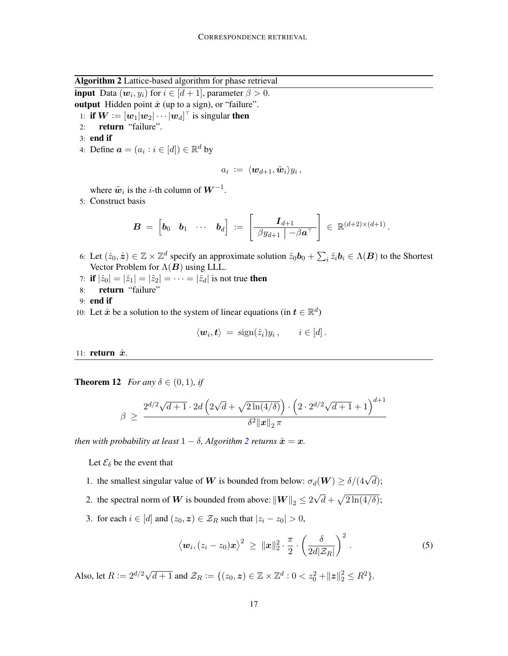Algorithm 2 Lattice-based algorithm for phase retrieval

<span id="page-16-0"></span>**input** Data  $(w_i, y_i)$  for  $i \in [d+1]$ , parameter  $\beta > 0$ .

output Hidden point  $\hat{x}$  (up to a sign), or "failure".

1: if  $\boldsymbol{W} \coloneqq [\boldsymbol{w}_1|\boldsymbol{w}_2|\cdots|\boldsymbol{w}_d]^\top$  is singular then

- 2: return "failure".
- 3: end if
- 4: Define  $\mathbf{a} = (a_i : i \in [d]) \in \mathbb{R}^d$  by

$$
a_i \ := \ \langle {\boldsymbol{w}}_{d+1}, \tilde{{\boldsymbol{w}}}_i \rangle y_i \, ,
$$

where  $\tilde{w}_i$  is the *i*-th column of  $W^{-1}$ .

5: Construct basis

$$
\boldsymbol{B} \ = \ \left[\boldsymbol{b}_0 \quad \boldsymbol{b}_1 \quad \cdots \quad \boldsymbol{b}_d \right] \ := \ \left[\begin{array}{c|c} \boldsymbol{I}_{d+1} & \\\hline \beta y_{d+1} & -\beta \boldsymbol{a}^\top \end{array} \right] \ \in \ \mathbb{R}^{(d+2)\times (d+1)}
$$

.

- 6: Let  $(\hat{z}_0, \hat{z}) \in \mathbb{Z} \times \mathbb{Z}^d$  specify an approximate solution  $\hat{z}_0 b_0 + \sum_i \hat{z}_i b_i \in \Lambda(B)$  to the Shortest Vector Problem for  $\Lambda(B)$  using LLL.
- 7: if  $|\hat{z}_0| = |\hat{z}_1| = |\hat{z}_2| = \cdots = |\hat{z}_d|$  is not true then
- 8: return "failure"

9: end if

10: Let  $\hat{x}$  be a solution to the system of linear equations (in  $t \in \mathbb{R}^d$ )

$$
\langle \mathbf{w}_i, \mathbf{t} \rangle = \text{sign}(\hat{z}_i) y_i, \quad i \in [d].
$$

11: return  $\hat{x}$ .

**Theorem 12** *For any*  $\delta \in (0,1)$ *, if* 

$$
\beta \; \geq \; \frac{2^{d/2} \sqrt{d+1} \cdot 2d\left(2\sqrt{d} + \sqrt{2\ln(4/\delta)}\right) \cdot \left(2 \cdot 2^{d/2} \sqrt{d+1} + 1\right)^{d+1}}{\delta^2 \|x\|_2 \, \pi}
$$

*then with probability at least*  $1 - \delta$ *, Algorithm* [2](#page-16-0) *returns*  $\hat{x} = x$ *.* 

Let  $\mathcal{E}_{\delta}$  be the event that

- 1. the smallest singular value of W is bounded from below:  $\sigma_d(\mathbf{W}) \ge \delta/(4\sqrt{d})$ ;
- 2. the spectral norm of  $\boldsymbol{W}$  is bounded from above:  $\|\boldsymbol{W}\|_2 \leq 2$ √  $\overline{d} + \sqrt{2 \ln(4/\delta)}$ ;
- 3. for each  $i \in [d]$  and  $(z_0, z) \in \mathcal{Z}_R$  such that  $|z_i z_0| > 0$ ,

<span id="page-16-1"></span>
$$
\langle \boldsymbol{w}_i, (z_i - z_0) \boldsymbol{x} \rangle^2 \, \geq \, ||\boldsymbol{x}||_2^2 \cdot \frac{\pi}{2} \cdot \left( \frac{\delta}{2d|\mathcal{Z}_R|} \right)^2 \, . \tag{5}
$$

Also, let  $R := 2^{d/2} \sqrt{d+1}$  and  $\mathcal{Z}_R := \{(z_0, z) \in \mathbb{Z} \times \mathbb{Z}^d : 0 < z_0^2 + ||z||_2^2 \le R^2\}.$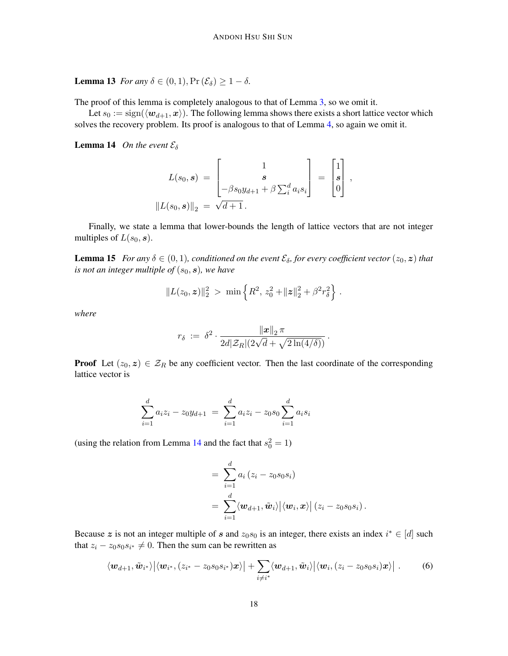**Lemma 13** *For any*  $\delta \in (0, 1)$ ,  $Pr(\mathcal{E}_{\delta}) \geq 1 - \delta$ .

The proof of this lemma is completely analogous to that of Lemma [3,](#page-5-0) so we omit it.

Let  $s_0 := \text{sign}(\langle \boldsymbol{w}_{d+1}, \boldsymbol{x} \rangle)$ . The following lemma shows there exists a short lattice vector which solves the recovery problem. Its proof is analogous to that of Lemma [4,](#page-5-1) so again we omit it.

<span id="page-17-0"></span>**Lemma 14** *On the event*  $\mathcal{E}_{\delta}$ 

$$
L(s_0, s) = \begin{bmatrix} 1 \\ s \\ -\beta s_0 y_{d+1} + \beta \sum_i a_i s_i \end{bmatrix} = \begin{bmatrix} 1 \\ s \\ 0 \end{bmatrix},
$$

$$
||L(s_0, s)||_2 = \sqrt{d+1}.
$$

Finally, we state a lemma that lower-bounds the length of lattice vectors that are not integer multiples of  $L(s_0, s)$ .

<span id="page-17-2"></span>**Lemma 15** *For any*  $\delta \in (0,1)$ *, conditioned on the event*  $\mathcal{E}_{\delta}$ *, for every coefficient vector*  $(z_0, z)$  *that is not an integer multiple of*  $(s_0, s)$ *, we have* 

$$
||L(z_0, \boldsymbol{z})||_2^2 > \min \left\{ R^2, z_0^2 + ||\boldsymbol{z}||_2^2 + \beta^2 r_\delta^2 \right\}.
$$

*where*

$$
r_{\delta} \; := \; \delta^2 \cdot \frac{\|x\|_2 \pi}{2d|\mathcal{Z}_R|(2\sqrt{d} + \sqrt{2\ln(4/\delta)})} \, .
$$

**Proof** Let  $(z_0, z) \in \mathcal{Z}_R$  be any coefficient vector. Then the last coordinate of the corresponding lattice vector is

$$
\sum_{i=1}^{d} a_i z_i - z_0 y_{d+1} = \sum_{i=1}^{d} a_i z_i - z_0 s_0 \sum_{i=1}^{d} a_i s_i
$$

(using the relation from Lemma [14](#page-17-0) and the fact that  $s_0^2 = 1$ )

<span id="page-17-1"></span>
$$
= \sum_{i=1}^d a_i (z_i - z_0 s_0 s_i)
$$
  
= 
$$
\sum_{i=1}^d \langle \mathbf{w}_{d+1}, \tilde{\mathbf{w}}_i \rangle | \langle \mathbf{w}_i, \mathbf{x} \rangle | (z_i - z_0 s_0 s_i).
$$

Because z is not an integer multiple of s and  $z_0s_0$  is an integer, there exists an index  $i^* \in [d]$  such that  $z_i - z_0 s_0 s_{i^*} \neq 0$ . Then the sum can be rewritten as

$$
\langle \boldsymbol{w}_{d+1}, \tilde{\boldsymbol{w}}_{i^*} \rangle \big| \langle \boldsymbol{w}_{i^*}, (z_{i^*}-z_0s_0s_{i^*}) \boldsymbol{x} \rangle \big| + \sum_{i \neq i^*} \langle \boldsymbol{w}_{d+1}, \tilde{\boldsymbol{w}}_i \rangle \big| \langle \boldsymbol{w}_i, (z_i-z_0s_0s_i) \boldsymbol{x} \rangle \big| . \qquad (6)
$$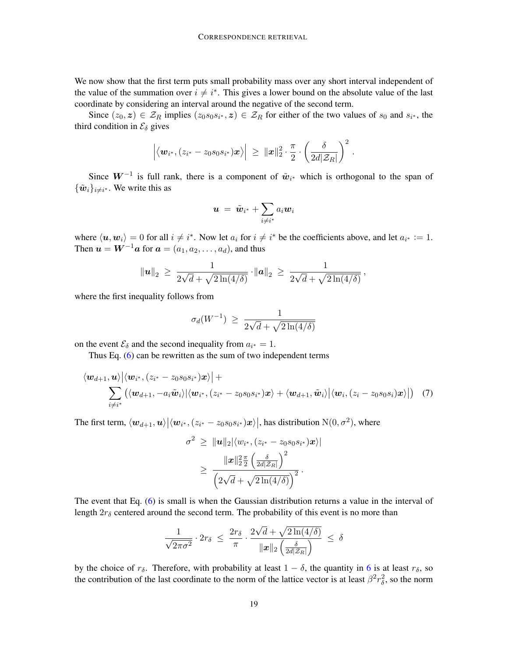We now show that the first term puts small probability mass over any short interval independent of the value of the summation over  $i \neq i^*$ . This gives a lower bound on the absolute value of the last coordinate by considering an interval around the negative of the second term.

Since  $(z_0, z) \in \mathcal{Z}_R$  implies  $(z_0s_0s_{i^*}, z) \in \mathcal{Z}_R$  for either of the two values of  $s_0$  and  $s_{i^*}$ , the third condition in  $\mathcal{E}_{\delta}$  gives

$$
\Big|\big\langle \boldsymbol{w}_{i^*}, (z_{i^*}-z_0s_0s_{i^*})\boldsymbol{x}\big\rangle\Big| \, \geq \, \| \boldsymbol{x}\|_2^2 \cdot \frac{\pi}{2} \cdot \left(\frac{\delta}{2d |\mathcal{Z}_R|}\right)^2
$$

.

Since  $W^{-1}$  is full rank, there is a component of  $\tilde{w}_{i^*}$  which is orthogonal to the span of  $\{\tilde{\boldsymbol{w}}_i\}_{i \neq i^*}$ . We write this as

$$
\bm{u}~=~\tilde{\bm{w}}_{i^*} + \sum_{i \neq i^*} a_i \bm{w}_i
$$

where  $\langle u, w_i \rangle = 0$  for all  $i \neq i^*$ . Now let  $a_i$  for  $i \neq i^*$  be the coefficients above, and let  $a_{i^*} := 1$ . Then  $u = W^{-1}a$  for  $a = (a_1, a_2, \dots, a_d)$ , and thus

$$
\|\mathbf{u}\|_2 \, \geq \, \frac{1}{2\sqrt{d} + \sqrt{2\ln(4/\delta)}} \cdot \|\mathbf{a}\|_2 \, \geq \, \frac{1}{2\sqrt{d} + \sqrt{2\ln(4/\delta)}},
$$

where the first inequality follows from

$$
\sigma_d(W^{-1}) \ge \frac{1}{2\sqrt{d} + \sqrt{2\ln(4/\delta)}}
$$

on the event  $\mathcal{E}_{\delta}$  and the second inequality from  $a_{i^*} = 1$ .

Thus Eq. [\(6\)](#page-17-1) can be rewritten as the sum of two independent terms

$$
\langle \boldsymbol{w}_{d+1}, \boldsymbol{u} \rangle \big| \langle \boldsymbol{w}_{i^*}, (z_{i^*}-z_0s_0s_{i^*}) \boldsymbol{x} \rangle \big| + \\ \sum_{i \neq i^*} (\langle \boldsymbol{w}_{d+1}, -a_i \tilde{\boldsymbol{w}}_i \rangle \big| \langle \boldsymbol{w}_{i^*}, (z_{i^*}-z_0s_0s_{i^*}) \boldsymbol{x} \rangle + \langle \boldsymbol{w}_{d+1}, \tilde{\boldsymbol{w}}_i \rangle \big| \langle \boldsymbol{w}_i, (z_i-z_0s_0s_i) \boldsymbol{x} \rangle \big| \big)
$$
(7)

The first term,  $\langle w_{d+1}, u \rangle | \langle w_{i^*}, (z_{i^*}-z_0 s_0 s_{i^*}) x \rangle |$ , has distribution  $\mathcal{N}(0, \sigma^2)$ , where

$$
\sigma^2 \geq \|\mathbf{u}\|_2 |\langle w_{i^*}, (z_{i^*}-z_0 s_0 s_{i^*}) \mathbf{x}\rangle|
$$
  
 
$$
\geq \frac{\|\mathbf{x}\|_2^2 \frac{\pi}{2} \left(\frac{\delta}{2d|Z_R|}\right)^2}{\left(2\sqrt{d} + \sqrt{2\ln(4/\delta)}\right)^2}.
$$

The event that Eq. [\(6\)](#page-17-1) is small is when the Gaussian distribution returns a value in the interval of length  $2r_{\delta}$  centered around the second term. The probability of this event is no more than

$$
\frac{1}{\sqrt{2\pi\sigma^2}} \cdot 2r_\delta \le \frac{2r_\delta}{\pi} \cdot \frac{2\sqrt{d} + \sqrt{2\ln(4/\delta)}}{\|\mathbf{x}\|_2 \left(\frac{\delta}{2d|\mathcal{Z}_R|}\right)} \le \delta
$$

by the choice of  $r_{\delta}$ . Therefore, with probability at least  $1 - \delta$ , the quantity in [6](#page-17-1) is at least  $r_{\delta}$ , so the contribution of the last coordinate to the norm of the lattice vector is at least  $\beta^2 r_\delta^2$ , so the norm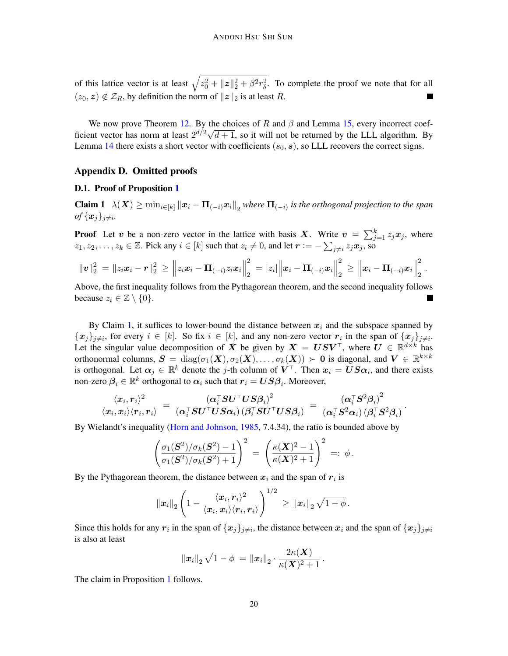of this lattice vector is at least  $\sqrt{z_0^2 + ||z||_2^2 + \beta^2 r_\delta^2}$ . To complete the proof we note that for all  $(z_0, z) \notin \mathcal{Z}_R$ , by definition the norm of  $||z||_2$  is at least R.

We now prove Theorem [12.](#page-15-1) By the choices of R and  $\beta$  and Lemma [15,](#page-17-2) every incorrect coefficient vector has norm at least  $2^{d/2}\sqrt{d+1}$ , so it will not be returned by the LLL algorithm. By Lemma [14](#page-17-0) there exists a short vector with coefficients  $(s_0, s)$ , so LLL recovers the correct signs.

### Appendix D. Omitted proofs

### <span id="page-19-0"></span>D.1. Proof of Proposition [1](#page-3-1)

<span id="page-19-1"></span>**Claim 1**  $\lambda(X) \ge \min_{i \in [k]} ||x_i - \Pi_{(-i)}x_i||_2$  where  $\Pi_{(-i)}$  is the orthogonal projection to the span  $of$   $\{x_j\}_{j \neq i}$ .

**Proof** Let v be a non-zero vector in the lattice with basis X. Write  $v = \sum_{j=1}^{k} z_j x_j$ , where  $z_1, z_2, \ldots, z_k \in \mathbb{Z}$ . Pick any  $i \in [k]$  such that  $z_i \neq 0$ , and let  $\mathbf{r} := -\sum_{j \neq i} z_j \mathbf{x}_j$ , so

$$
\|\mathbf{v}\|_2^2 = \|z_i\mathbf{x}_i - \mathbf{r}\|_2^2 \geq \left\|z_i\mathbf{x}_i - \mathbf{\Pi}_{(-i)}z_i\mathbf{x}_i\right\|_2^2 = |z_i|\left\|\mathbf{x}_i - \mathbf{\Pi}_{(-i)}\mathbf{x}_i\right\|_2^2 \geq \left\|\mathbf{x}_i - \mathbf{\Pi}_{(-i)}\mathbf{x}_i\right\|_2^2.
$$

Above, the first inequality follows from the Pythagorean theorem, and the second inequality follows because  $z_i \in \mathbb{Z} \setminus \{0\}.$ **The State** 

By Claim [1,](#page-19-1) it suffices to lower-bound the distance between  $x_i$  and the subspace spanned by  $\{x_j\}_{j\neq i}$ , for every  $i \in [k]$ . So fix  $i \in [k]$ , and any non-zero vector  $r_i$  in the span of  $\{x_j\}_{j\neq i}$ . Let the singular value decomposition of X be given by  $X = USV^{\top}$ , where  $U \in \mathbb{R}^{d \times k}$  has orthonormal columns,  $S = diag(\sigma_1(X), \sigma_2(X), \ldots, \sigma_k(X)) \succ 0$  is diagonal, and  $V \in \mathbb{R}^{k \times k}$ is orthogonal. Let  $\alpha_j \in \mathbb{R}^k$  denote the j-th column of  $V^{\top}$ . Then  $x_i = US\alpha_i$ , and there exists non-zero  $\bm{\beta}_i \in \mathbb{R}^k$  orthogonal to  $\bm{\alpha}_i$  such that  $\bm{r}_i = \bm{U}\bm{S}\bm{\beta}_i$ . Moreover,

$$
\frac{\langle x_i, r_i \rangle^2}{\langle x_i, x_i \rangle \langle r_i, r_i \rangle} \ = \ \frac{(\alpha_i^\top SU^\top US\beta_i)^2}{(\alpha_i^\top SU^\top US\alpha_i)\, (\beta_i^\top SU^\top US\beta_i)} \ = \ \frac{(\alpha_i^\top S^2 \beta_i)^2}{(\alpha_i^\top S^2 \alpha_i)\, (\beta_i^\top S^2 \beta_i)} \, .
$$

By Wielandt's inequality [\(Horn and Johnson,](#page-13-15) [1985,](#page-13-15) 7.4.34), the ratio is bounded above by

$$
\left(\frac{\sigma_1(\mathbf{S}^2)/\sigma_k(\mathbf{S}^2)-1}{\sigma_1(\mathbf{S}^2)/\sigma_k(\mathbf{S}^2)+1}\right)^2 = \left(\frac{\kappa(\mathbf{X})^2-1}{\kappa(\mathbf{X})^2+1}\right)^2 =: \phi.
$$

By the Pythagorean theorem, the distance between  $x_i$  and the span of  $r_i$  is

$$
\left\|\bm{x}_{i}\right\|_{2}\left(1-\frac{\langle \bm{x}_{i}, \bm{r}_{i} \rangle^{2}}{\langle \bm{x}_{i}, \bm{x}_{i} \rangle \langle \bm{r}_{i}, \bm{r}_{i} \rangle}\right)^{1/2} \, \geq \left\|\bm{x}_{i}\right\|_{2}\sqrt{1-\phi} \, .
$$

Since this holds for any  $r_i$  in the span of  $\{x_j\}_{j\neq i}$ , the distance between  $x_i$  and the span of  $\{x_j\}_{j\neq i}$ is also at least

$$
\left\|\bm{x}_i\right\|_2\sqrt{1-\phi}\,=\left\|\bm{x}_i\right\|_2\cdot\frac{2\kappa(\bm{X})}{\kappa(\bm{X})^2+1}\,.
$$

The claim in Proposition [1](#page-3-1) follows.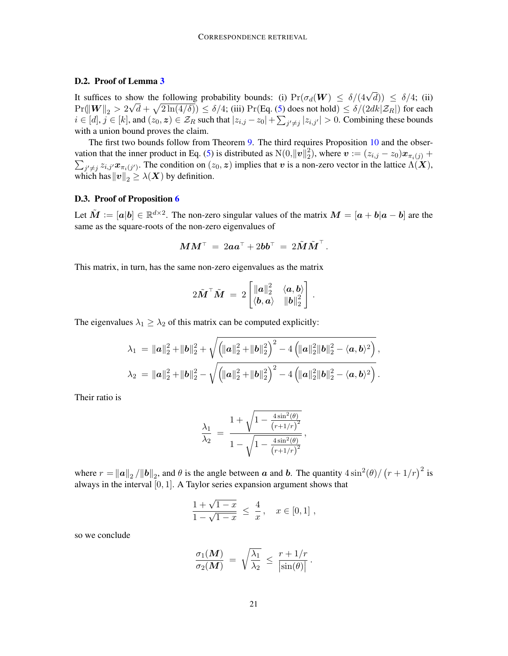### <span id="page-20-0"></span>D.2. Proof of Lemma [3](#page-5-0)

It suffices to show the following probability bounds: (i)  $Pr(\sigma_d(\mathbf{W}) \leq \delta/(4\sqrt{d})) \leq \delta/4$ ; (ii)  $\Pr(\|{\bm{W}}\|_2 > 2\sqrt{d} + \sqrt{2\ln(4/\delta)}) \leq \delta/4$ ; (iii)  $\Pr(\text{Eq. (5) does not hold}) \leq \delta/(2dk | \mathcal{Z}_R|)$  $\Pr(\text{Eq. (5) does not hold}) \leq \delta/(2dk | \mathcal{Z}_R|)$  $\Pr(\text{Eq. (5) does not hold}) \leq \delta/(2dk | \mathcal{Z}_R|)$  for each  $i \in [d], j \in [k]$ , and  $(z_0, z) \in \mathcal{Z}_R$  such that  $|z_{i,j} - z_0| + \sum_{j' \neq j} |z_{i,j'}| > 0$ . Combining these bounds with a union bound proves the claim.

The first two bounds follow from Theorem [9.](#page-14-6) The third requires Proposition [10](#page-14-3) and the obser-vation that the inner product in Eq. [\(5\)](#page-16-1) is distributed as  $N(0, ||\boldsymbol{v}||_2^2)$  $\mathbf{z}^2_2$ ), where  $\boldsymbol{v} := (z_{i,j} - z_0) \boldsymbol{x}_{\pi_i(j)} + \boldsymbol{v}$  $\sum_{j'\neq j} z_{i,j'} x_{\pi_i(j')}$ . The condition on  $(z_0, z)$  implies that v is a non-zero vector in the lattice  $\Lambda(X)$ , which has  $\|v\|_2 \geq \lambda(X)$  by definition.

### <span id="page-20-1"></span>D.3. Proof of Proposition [6](#page-8-0)

Let  $\tilde{M} := [\mathbf{a}|\mathbf{b}] \in \mathbb{R}^{d \times 2}$ . The non-zero singular values of the matrix  $M = [\mathbf{a} + \mathbf{b}|\mathbf{a} - \mathbf{b}]$  are the same as the square-roots of the non-zero eigenvalues of

$$
\boldsymbol{M}\boldsymbol{M}^{\top} \ = \ 2 \boldsymbol{a} \boldsymbol{a}^{\top} + 2 \boldsymbol{b} \boldsymbol{b}^{\top} \ = \ 2 \tilde{\boldsymbol{M}} \tilde{\boldsymbol{M}}^{\top} \, .
$$

This matrix, in turn, has the same non-zero eigenvalues as the matrix

$$
2\tilde{\boldsymbol{M}}^\top\tilde{\boldsymbol{M}}\ =\ 2\begin{bmatrix}\|\boldsymbol{a}\|_2^2 & \langle\boldsymbol{a},\boldsymbol{b}\rangle \\ \langle\boldsymbol{b},\boldsymbol{a}\rangle & \|\boldsymbol{b}\|_2^2\end{bmatrix}\,.
$$

The eigenvalues  $\lambda_1 \geq \lambda_2$  of this matrix can be computed explicitly:

$$
\lambda_1 = \|\boldsymbol{a}\|_2^2 + \|\boldsymbol{b}\|_2^2 + \sqrt{\left(\|\boldsymbol{a}\|_2^2 + \|\boldsymbol{b}\|_2^2\right)^2 - 4\left(\|\boldsymbol{a}\|_2^2 \|\boldsymbol{b}\|_2^2 - \langle \boldsymbol{a}, \boldsymbol{b} \rangle^2\right)},
$$
  

$$
\lambda_2 = \|\boldsymbol{a}\|_2^2 + \|\boldsymbol{b}\|_2^2 - \sqrt{\left(\|\boldsymbol{a}\|_2^2 + \|\boldsymbol{b}\|_2^2\right)^2 - 4\left(\|\boldsymbol{a}\|_2^2 \|\boldsymbol{b}\|_2^2 - \langle \boldsymbol{a}, \boldsymbol{b} \rangle^2\right)}.
$$

Their ratio is

$$
\frac{\lambda_1}{\lambda_2} = \frac{1 + \sqrt{1 - \frac{4 \sin^2(\theta)}{(r + 1/r)^2}}}{1 - \sqrt{1 - \frac{4 \sin^2(\theta)}{(r + 1/r)^2}}},
$$

where  $r = ||a||_2 / ||b||_2$ , and  $\theta$  is the angle between a and b. The quantity  $4 \sin^2(\theta) / (r + 1/r)^2$  is always in the interval  $[0, 1]$ . A Taylor series expansion argument shows that

$$
\frac{1+\sqrt{1-x}}{1-\sqrt{1-x}} \le \frac{4}{x}, \quad x \in [0,1],
$$

so we conclude

$$
\frac{\sigma_1(\boldsymbol{M})}{\sigma_2(\boldsymbol{M})} \;=\; \sqrt{\frac{\lambda_1}{\lambda_2}} \; \leq \; \frac{r+1/r}{|\sin(\theta)|} \, .
$$